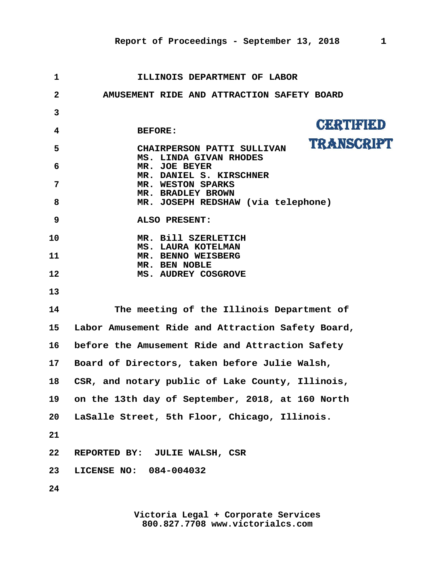| 1                       | ILLINOIS DEPARTMENT OF LABOR                            |
|-------------------------|---------------------------------------------------------|
| $\mathbf{2}$            | AMUSEMENT RIDE AND ATTRACTION SAFETY BOARD              |
| 3                       |                                                         |
| $\overline{\mathbf{4}}$ | CERTIFIED<br><b>BEFORE:</b>                             |
| 5                       | <b>TRANSCRIPT</b><br>CHAIRPERSON PATTI SULLIVAN         |
| 6                       | MS. LINDA GIVAN RHODES<br>MR. JOE BEYER                 |
| 7                       | MR. DANIEL S. KIRSCHNER<br>MR. WESTON SPARKS            |
| 8                       | MR. BRADLEY BROWN<br>MR. JOSEPH REDSHAW (via telephone) |
| 9                       | ALSO PRESENT:                                           |
| 10                      | MR. Bill SZERLETICH                                     |
| 11                      | MS. LAURA KOTELMAN<br>MR. BENNO WEISBERG                |
| 12                      | MR. BEN NOBLE<br>MS. AUDREY COSGROVE                    |
| 13                      |                                                         |
| 14                      | The meeting of the Illinois Department of               |
| 15 <sub>1</sub>         | Labor Amusement Ride and Attraction Safety Board,       |
| 16                      | before the Amusement Ride and Attraction Safety         |
| 17 <sub>2</sub>         | Board of Directors, taken before Julie Walsh,           |
| 18                      | CSR, and notary public of Lake County, Illinois,        |
| 19                      | on the 13th day of September, 2018, at 160 North        |
| 20                      | LaSalle Street, 5th Floor, Chicago, Illinois.           |
| 21                      |                                                         |
| 22                      | REPORTED BY: JULIE WALSH, CSR                           |
| 23                      | LICENSE NO: 084-004032                                  |
| 24                      |                                                         |
|                         |                                                         |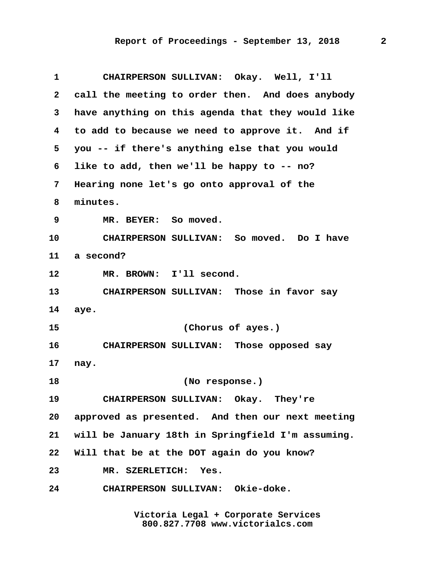| $\mathbf{1}$ | CHAIRPERSON SULLIVAN: Okay. Well, I'll            |
|--------------|---------------------------------------------------|
| $\mathbf{2}$ | call the meeting to order then. And does anybody  |
| 3            | have anything on this agenda that they would like |
| 4            | to add to because we need to approve it. And if   |
| 5            | you -- if there's anything else that you would    |
| 6            | like to add, then we'll be happy to -- no?        |
| 7            | Hearing none let's go onto approval of the        |
| 8            | minutes.                                          |
| 9            | MR. BEYER: So moved.                              |
| 10           | CHAIRPERSON SULLIVAN: So moved. Do I have         |
| 11           | a second?                                         |
| 12           | MR. BROWN: I'll second.                           |
| 13           | CHAIRPERSON SULLIVAN: Those in favor say          |
| 14           | aye.                                              |
| 15           | (Chorus of ayes.)                                 |
| 16           | CHAIRPERSON SULLIVAN: Those opposed say           |
| 17           | nay.                                              |
| 18           | (No response.)                                    |
| 19           | CHAIRPERSON SULLIVAN: Okay. They're               |
| 20           | approved as presented. And then our next meeting  |
| 21           | will be January 18th in Springfield I'm assuming. |
| 22           | Will that be at the DOT again do you know?        |
| 23           | MR. SZERLETICH: Yes.                              |
| 24           | CHAIRPERSON SULLIVAN: Okie-doke.                  |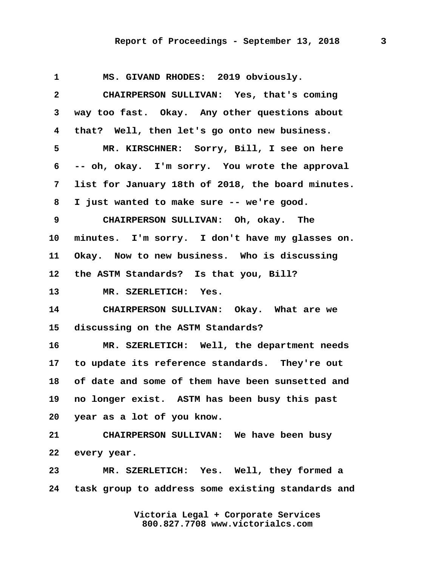## **Report of Proceedings - September 13, 2018 3**

 **1 MS. GIVAND RHODES: 2019 obviously. 2 CHAIRPERSON SULLIVAN: Yes, that's coming 3 way too fast. Okay. Any other questions about 4 that? Well, then let's go onto new business. 5 MR. KIRSCHNER: Sorry, Bill, I see on here 6 -- oh, okay. I'm sorry. You wrote the approval 7 list for January 18th of 2018, the board minutes. 8 I just wanted to make sure -- we're good. 9 CHAIRPERSON SULLIVAN: Oh, okay. The 10 minutes. I'm sorry. I don't have my glasses on. 11 Okay. Now to new business. Who is discussing 12 the ASTM Standards? Is that you, Bill? 13 MR. SZERLETICH: Yes. 14 CHAIRPERSON SULLIVAN: Okay. What are we 15 discussing on the ASTM Standards? 16 MR. SZERLETICH: Well, the department needs 17 to update its reference standards. They're out 18 of date and some of them have been sunsetted and 19 no longer exist. ASTM has been busy this past 20 year as a lot of you know. 21 CHAIRPERSON SULLIVAN: We have been busy 22 every year. 23 MR. SZERLETICH: Yes. Well, they formed a 24 task group to address some existing standards and**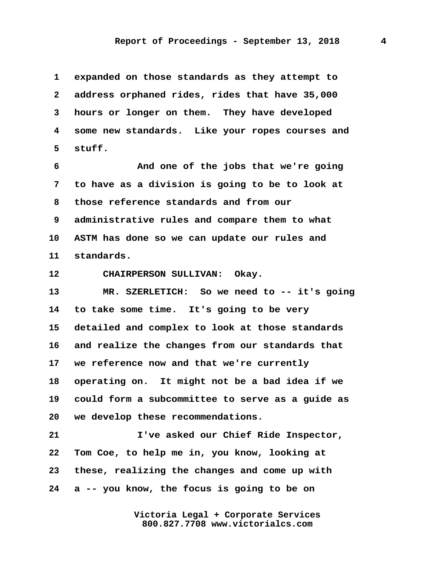**1 expanded on those standards as they attempt to 2 address orphaned rides, rides that have 35,000 3 hours or longer on them. They have developed 4 some new standards. Like your ropes courses and 5 stuff.**

 **6 And one of the jobs that we're going 7 to have as a division is going to be to look at 8 those reference standards and from our 9 administrative rules and compare them to what 10 ASTM has done so we can update our rules and 11 standards.**

**12 CHAIRPERSON SULLIVAN: Okay.**

**13 MR. SZERLETICH: So we need to -- it's going 14 to take some time. It's going to be very 15 detailed and complex to look at those standards 16 and realize the changes from our standards that 17 we reference now and that we're currently 18 operating on. It might not be a bad idea if we 19 could form a subcommittee to serve as a guide as 20 we develop these recommendations.**

**21 I've asked our Chief Ride Inspector, 22 Tom Coe, to help me in, you know, looking at 23 these, realizing the changes and come up with 24 a -- you know, the focus is going to be on**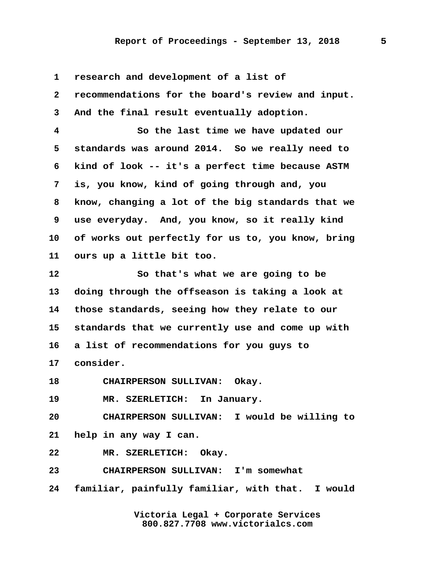## **Report of Proceedings - September 13, 2018 5**

 **1 research and development of a list of**

 **2 recommendations for the board's review and input. 3 And the final result eventually adoption.**

 **4 So the last time we have updated our 5 standards was around 2014. So we really need to 6 kind of look -- it's a perfect time because ASTM 7 is, you know, kind of going through and, you 8 know, changing a lot of the big standards that we 9 use everyday. And, you know, so it really kind 10 of works out perfectly for us to, you know, bring 11 ours up a little bit too.**

**12 So that's what we are going to be 13 doing through the offseason is taking a look at 14 those standards, seeing how they relate to our 15 standards that we currently use and come up with 16 a list of recommendations for you guys to 17 consider.**

**18 CHAIRPERSON SULLIVAN: Okay.**

**19 MR. SZERLETICH: In January.**

**20 CHAIRPERSON SULLIVAN: I would be willing to 21 help in any way I can.**

**22 MR. SZERLETICH: Okay.**

**23 CHAIRPERSON SULLIVAN: I'm somewhat**

**24 familiar, painfully familiar, with that. I would**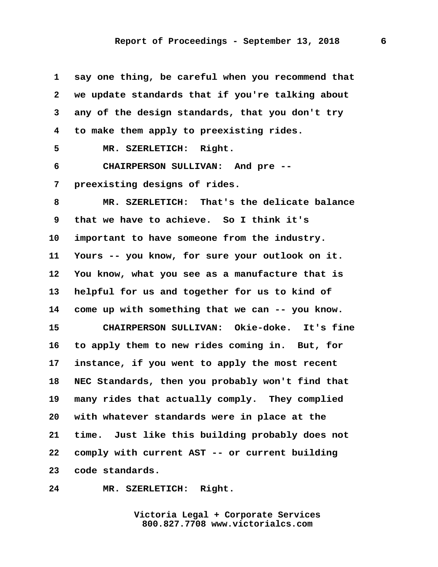**1 say one thing, be careful when you recommend that 2 we update standards that if you're talking about 3 any of the design standards, that you don't try 4 to make them apply to preexisting rides. 5 MR. SZERLETICH: Right. 6 CHAIRPERSON SULLIVAN: And pre -- 7 preexisting designs of rides. 8 MR. SZERLETICH: That's the delicate balance 9 that we have to achieve. So I think it's 10 important to have someone from the industry. 11 Yours -- you know, for sure your outlook on it. 12 You know, what you see as a manufacture that is 13 helpful for us and together for us to kind of 14 come up with something that we can -- you know. 15 CHAIRPERSON SULLIVAN: Okie-doke. It's fine 16 to apply them to new rides coming in. But, for 17 instance, if you went to apply the most recent 18 NEC Standards, then you probably won't find that 19 many rides that actually comply. They complied 20 with whatever standards were in place at the 21 time. Just like this building probably does not 22 comply with current AST -- or current building 23 code standards.**

**24 MR. SZERLETICH: Right.**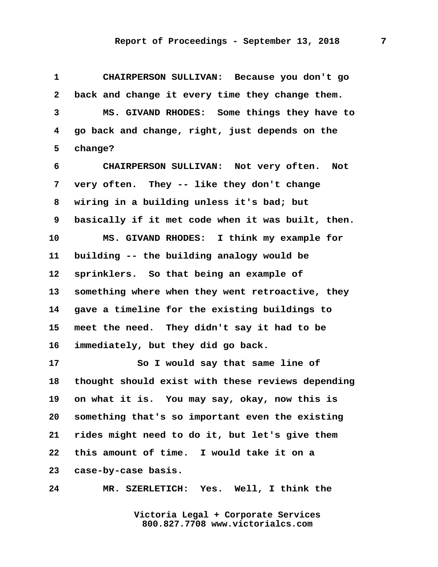**1 CHAIRPERSON SULLIVAN: Because you don't go 2 back and change it every time they change them. 3 MS. GIVAND RHODES: Some things they have to 4 go back and change, right, just depends on the 5 change?**

 **6 CHAIRPERSON SULLIVAN: Not very often. Not 7 very often. They -- like they don't change 8 wiring in a building unless it's bad; but 9 basically if it met code when it was built, then. 10 MS. GIVAND RHODES: I think my example for 11 building -- the building analogy would be 12 sprinklers. So that being an example of 13 something where when they went retroactive, they 14 gave a timeline for the existing buildings to 15 meet the need. They didn't say it had to be 16 immediately, but they did go back.**

**17 So I would say that same line of 18 thought should exist with these reviews depending 19 on what it is. You may say, okay, now this is 20 something that's so important even the existing 21 rides might need to do it, but let's give them 22 this amount of time. I would take it on a 23 case-by-case basis.**

**24 MR. SZERLETICH: Yes. Well, I think the**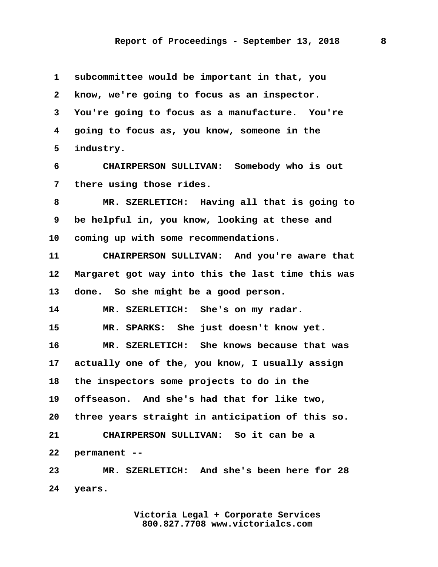**1 subcommittee would be important in that, you 2 know, we're going to focus as an inspector. 3 You're going to focus as a manufacture. You're 4 going to focus as, you know, someone in the 5 industry.**

 **6 CHAIRPERSON SULLIVAN: Somebody who is out 7 there using those rides.**

 **8 MR. SZERLETICH: Having all that is going to 9 be helpful in, you know, looking at these and 10 coming up with some recommendations.**

**11 CHAIRPERSON SULLIVAN: And you're aware that 12 Margaret got way into this the last time this was 13 done. So she might be a good person.**

**14 MR. SZERLETICH: She's on my radar.**

**15 MR. SPARKS: She just doesn't know yet.**

**16 MR. SZERLETICH: She knows because that was 17 actually one of the, you know, I usually assign 18 the inspectors some projects to do in the 19 offseason. And she's had that for like two, 20 three years straight in anticipation of this so. 21 CHAIRPERSON SULLIVAN: So it can be a 22 permanent --**

**23 MR. SZERLETICH: And she's been here for 28 24 years.**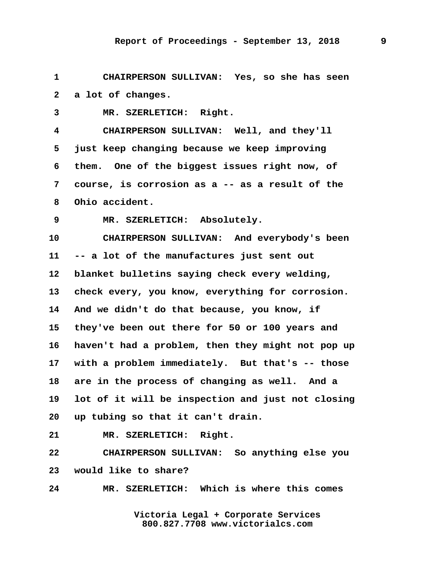**1 CHAIRPERSON SULLIVAN: Yes, so she has seen 2 a lot of changes.**

 **3 MR. SZERLETICH: Right.**

 **4 CHAIRPERSON SULLIVAN: Well, and they'll 5 just keep changing because we keep improving 6 them. One of the biggest issues right now, of 7 course, is corrosion as a -- as a result of the 8 Ohio accident.**

 **9 MR. SZERLETICH: Absolutely.**

**10 CHAIRPERSON SULLIVAN: And everybody's been 11 -- a lot of the manufactures just sent out 12 blanket bulletins saying check every welding, 13 check every, you know, everything for corrosion. 14 And we didn't do that because, you know, if 15 they've been out there for 50 or 100 years and 16 haven't had a problem, then they might not pop up 17 with a problem immediately. But that's -- those 18 are in the process of changing as well. And a 19 lot of it will be inspection and just not closing 20 up tubing so that it can't drain.**

**21 MR. SZERLETICH: Right.**

**22 CHAIRPERSON SULLIVAN: So anything else you 23 would like to share?**

**24 MR. SZERLETICH: Which is where this comes**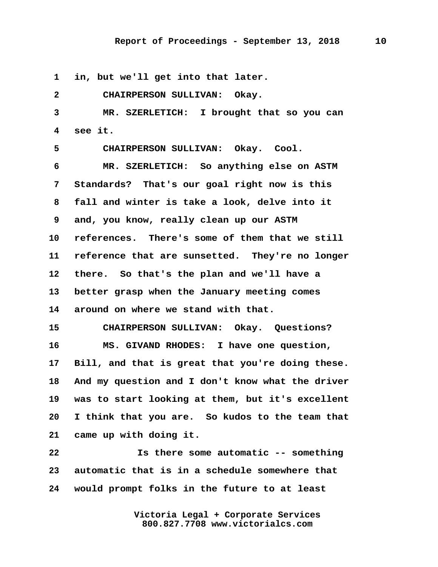**1 in, but we'll get into that later.**

 **2 CHAIRPERSON SULLIVAN: Okay. 3 MR. SZERLETICH: I brought that so you can 4 see it. 5 CHAIRPERSON SULLIVAN: Okay. Cool. 6 MR. SZERLETICH: So anything else on ASTM 7 Standards? That's our goal right now is this 8 fall and winter is take a look, delve into it 9 and, you know, really clean up our ASTM 10 references. There's some of them that we still 11 reference that are sunsetted. They're no longer 12 there. So that's the plan and we'll have a 13 better grasp when the January meeting comes 14 around on where we stand with that. 15 CHAIRPERSON SULLIVAN: Okay. Questions? 16 MS. GIVAND RHODES: I have one question, 17 Bill, and that is great that you're doing these. 18 And my question and I don't know what the driver 19 was to start looking at them, but it's excellent 20 I think that you are. So kudos to the team that 21 came up with doing it. 22 Is there some automatic -- something**

**23 automatic that is in a schedule somewhere that 24 would prompt folks in the future to at least**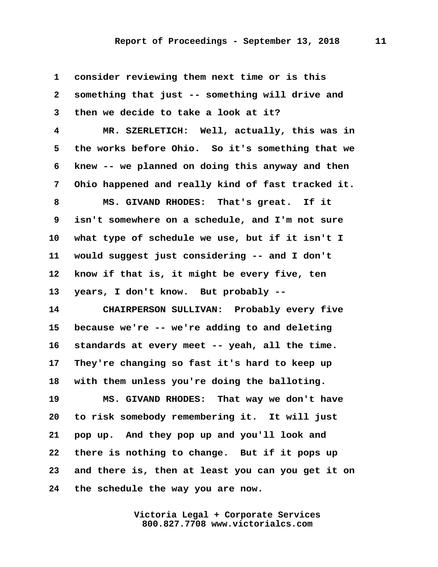**1 consider reviewing them next time or is this 2 something that just -- something will drive and 3 then we decide to take a look at it? 4 MR. SZERLETICH: Well, actually, this was in 5 the works before Ohio. So it's something that we 6 knew -- we planned on doing this anyway and then 7 Ohio happened and really kind of fast tracked it. 8 MS. GIVAND RHODES: That's great. If it 9 isn't somewhere on a schedule, and I'm not sure 10 what type of schedule we use, but if it isn't I 11 would suggest just considering -- and I don't 12 know if that is, it might be every five, ten 13 years, I don't know. But probably -- 14 CHAIRPERSON SULLIVAN: Probably every five 15 because we're -- we're adding to and deleting 16 standards at every meet -- yeah, all the time. 17 They're changing so fast it's hard to keep up 18 with them unless you're doing the balloting. 19 MS. GIVAND RHODES: That way we don't have 20 to risk somebody remembering it. It will just 21 pop up. And they pop up and you'll look and 22 there is nothing to change. But if it pops up 23 and there is, then at least you can you get it on 24 the schedule the way you are now.**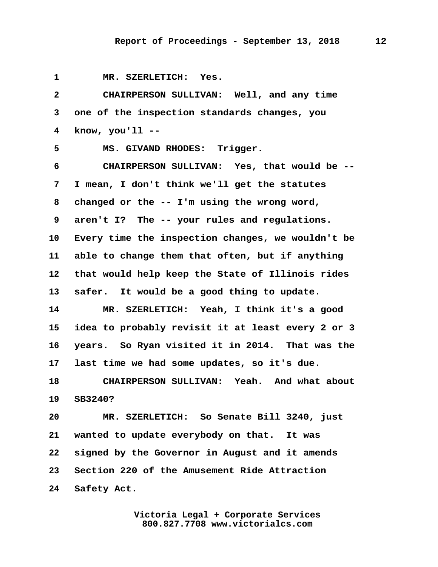**1 MR. SZERLETICH: Yes. 2 CHAIRPERSON SULLIVAN: Well, and any time 3 one of the inspection standards changes, you 4 know, you'll -- 5 MS. GIVAND RHODES: Trigger. 6 CHAIRPERSON SULLIVAN: Yes, that would be -- 7 I mean, I don't think we'll get the statutes 8 changed or the -- I'm using the wrong word, 9 aren't I? The -- your rules and regulations. 10 Every time the inspection changes, we wouldn't be 11 able to change them that often, but if anything 12 that would help keep the State of Illinois rides 13 safer. It would be a good thing to update. 14 MR. SZERLETICH: Yeah, I think it's a good 15 idea to probably revisit it at least every 2 or 3 16 years. So Ryan visited it in 2014. That was the 17 last time we had some updates, so it's due. 18 CHAIRPERSON SULLIVAN: Yeah. And what about 19 SB3240? 20 MR. SZERLETICH: So Senate Bill 3240, just 21 wanted to update everybody on that. It was 22 signed by the Governor in August and it amends 23 Section 220 of the Amusement Ride Attraction 24 Safety Act.**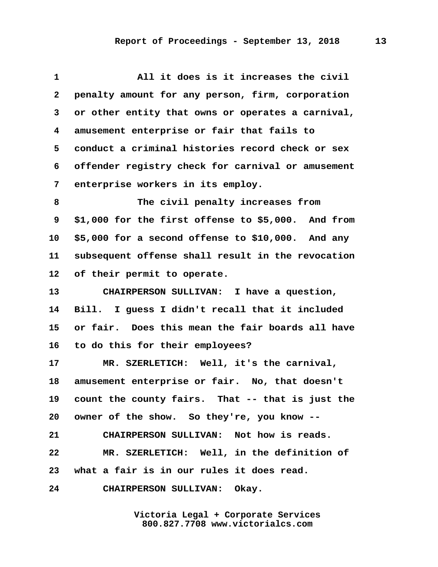| $\mathbf 1$     | All it does is it increases the civil              |
|-----------------|----------------------------------------------------|
| $\mathbf{2}$    | penalty amount for any person, firm, corporation   |
| 3               | or other entity that owns or operates a carnival,  |
| 4               | amusement enterprise or fair that fails to         |
| 5               | conduct a criminal histories record check or sex   |
| 6               | offender registry check for carnival or amusement  |
| 7               | enterprise workers in its employ.                  |
| 8               | The civil penalty increases from                   |
| 9               | \$1,000 for the first offense to \$5,000. And from |
| 10              | \$5,000 for a second offense to \$10,000. And any  |
| 11              | subsequent offense shall result in the revocation  |
| 12              | of their permit to operate.                        |
| 13              | CHAIRPERSON SULLIVAN: I have a question,           |
| 14              | Bill. I guess I didn't recall that it included     |
| 15              | or fair. Does this mean the fair boards all have   |
| 16              | to do this for their employees?                    |
| 17 <sub>2</sub> | MR. SZERLETICH: Well, it's the carnival,           |
| 18              | amusement enterprise or fair. No, that doesn't     |
| 19              | count the county fairs. That -- that is just the   |
| 20              | owner of the show. So they're, you know --         |
| 21              | CHAIRPERSON SULLIVAN: Not how is reads.            |
| 22              | MR. SZERLETICH: Well, in the definition of         |
| 23              | what a fair is in our rules it does read.          |
| 24              | CHAIRPERSON SULLIVAN: Okay.                        |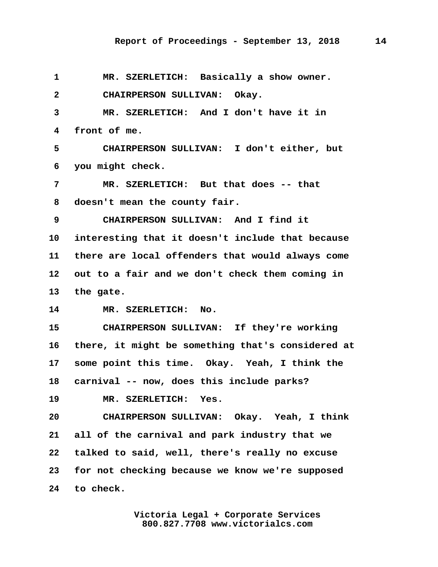**1 MR. SZERLETICH: Basically a show owner. 2 CHAIRPERSON SULLIVAN: Okay. 3 MR. SZERLETICH: And I don't have it in 4 front of me. 5 CHAIRPERSON SULLIVAN: I don't either, but 6 you might check. 7 MR. SZERLETICH: But that does -- that 8 doesn't mean the county fair. 9 CHAIRPERSON SULLIVAN: And I find it 10 interesting that it doesn't include that because 11 there are local offenders that would always come 12 out to a fair and we don't check them coming in 13 the gate. 14 MR. SZERLETICH: No. 15 CHAIRPERSON SULLIVAN: If they're working 16 there, it might be something that's considered at 17 some point this time. Okay. Yeah, I think the 18 carnival -- now, does this include parks? 19 MR. SZERLETICH: Yes. 20 CHAIRPERSON SULLIVAN: Okay. Yeah, I think 21 all of the carnival and park industry that we 22 talked to said, well, there's really no excuse 23 for not checking because we know we're supposed 24 to check.**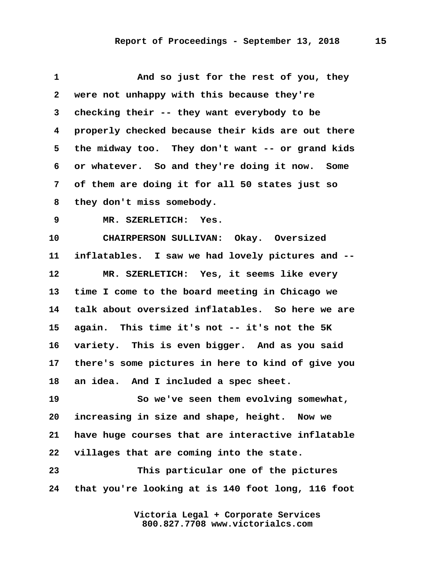| $\mathbf 1$  | And so just for the rest of you, they             |
|--------------|---------------------------------------------------|
| $\mathbf{2}$ | were not unhappy with this because they're        |
| 3            | checking their -- they want everybody to be       |
| 4            | properly checked because their kids are out there |
| 5            | the midway too. They don't want -- or grand kids  |
| 6            | or whatever. So and they're doing it now. Some    |
| 7            | of them are doing it for all 50 states just so    |
| 8            | they don't miss somebody.                         |
| 9            | MR. SZERLETICH:<br>Yes.                           |
| 10           | CHAIRPERSON SULLIVAN: Okay. Oversized             |
| 11           | inflatables. I saw we had lovely pictures and --  |
| 12           | MR. SZERLETICH: Yes, it seems like every          |
| 13           | time I come to the board meeting in Chicago we    |
| 14           | talk about oversized inflatables. So here we are  |
| 15           | again. This time it's not -- it's not the 5K      |
| 16           | variety. This is even bigger. And as you said     |
| $17\,$       | there's some pictures in here to kind of give you |
| 18           | an idea. And I included a spec sheet.             |
| 19           | So we've seen them evolving somewhat,             |
| 20           | increasing in size and shape, height. Now we      |
| 21           | have huge courses that are interactive inflatable |
| 22           | villages that are coming into the state.          |
| 23           | This particular one of the pictures               |
| 24           | that you're looking at is 140 foot long, 116 foot |
|              |                                                   |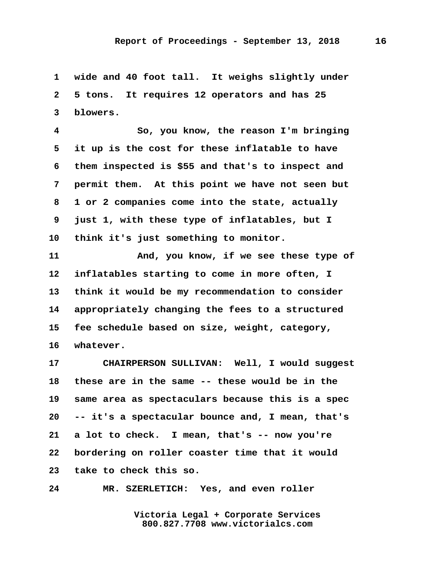**1 wide and 40 foot tall. It weighs slightly under 2 5 tons. It requires 12 operators and has 25 3 blowers.**

 **4 So, you know, the reason I'm bringing 5 it up is the cost for these inflatable to have 6 them inspected is \$55 and that's to inspect and 7 permit them. At this point we have not seen but 8 1 or 2 companies come into the state, actually 9 just 1, with these type of inflatables, but I 10 think it's just something to monitor.**

**11 And, you know, if we see these type of 12 inflatables starting to come in more often, I 13 think it would be my recommendation to consider 14 appropriately changing the fees to a structured 15 fee schedule based on size, weight, category, 16 whatever.**

**17 CHAIRPERSON SULLIVAN: Well, I would suggest 18 these are in the same -- these would be in the 19 same area as spectaculars because this is a spec 20 -- it's a spectacular bounce and, I mean, that's 21 a lot to check. I mean, that's -- now you're 22 bordering on roller coaster time that it would 23 take to check this so.**

**24 MR. SZERLETICH: Yes, and even roller**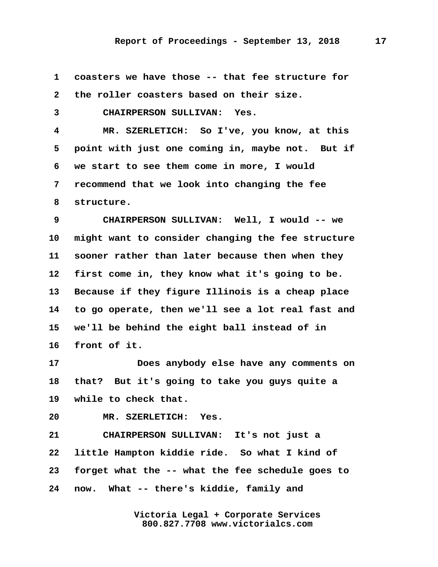| 1                       | coasters we have those -- that fee structure for  |
|-------------------------|---------------------------------------------------|
| $\mathbf{2}$            | the roller coasters based on their size.          |
| 3                       | CHAIRPERSON SULLIVAN: Yes.                        |
| $\overline{\mathbf{4}}$ | MR. SZERLETICH: So I've, you know, at this        |
| 5                       | point with just one coming in, maybe not. But if  |
| 6                       | we start to see them come in more, I would        |
| 7                       | recommend that we look into changing the fee      |
| 8                       | structure.                                        |
| 9                       | CHAIRPERSON SULLIVAN: Well, I would -- we         |
| 10                      | might want to consider changing the fee structure |
| 11                      | sooner rather than later because then when they   |
| 12                      | first come in, they know what it's going to be.   |
| 13                      | Because if they figure Illinois is a cheap place  |
| 14                      | to go operate, then we'll see a lot real fast and |
| 15                      | we'll be behind the eight ball instead of in      |
| 16                      | front of it.                                      |
| 17                      | Does anybody else have any comments on            |
| 18                      | But it's going to take you guys quite a<br>that?  |
| 19                      | while to check that.                              |
| 20                      | MR. SZERLETICH: Yes.                              |
| 21                      | CHAIRPERSON SULLIVAN: It's not just a             |
| 22                      | little Hampton kiddie ride. So what I kind of     |
| 23                      | forget what the -- what the fee schedule goes to  |
| 24                      | now. What -- there's kiddie, family and           |
|                         |                                                   |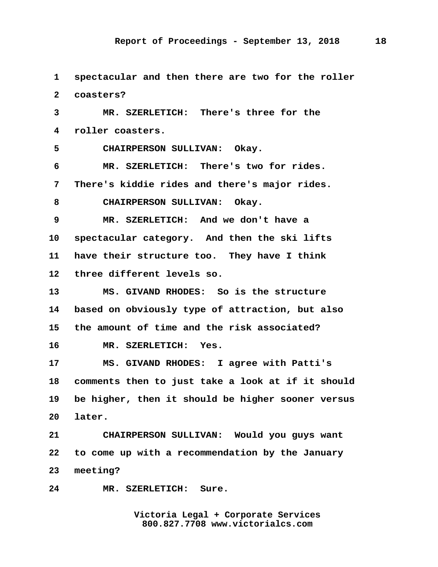**1 spectacular and then there are two for the roller 2 coasters? 3 MR. SZERLETICH: There's three for the 4 roller coasters. 5 CHAIRPERSON SULLIVAN: Okay. 6 MR. SZERLETICH: There's two for rides. 7 There's kiddie rides and there's major rides. 8 CHAIRPERSON SULLIVAN: Okay. 9 MR. SZERLETICH: And we don't have a 10 spectacular category. And then the ski lifts 11 have their structure too. They have I think 12 three different levels so. 13 MS. GIVAND RHODES: So is the structure 14 based on obviously type of attraction, but also 15 the amount of time and the risk associated? 16 MR. SZERLETICH: Yes. 17 MS. GIVAND RHODES: I agree with Patti's 18 comments then to just take a look at if it should 19 be higher, then it should be higher sooner versus 20 later. 21 CHAIRPERSON SULLIVAN: Would you guys want 22 to come up with a recommendation by the January 23 meeting? 24 MR. SZERLETICH: Sure.**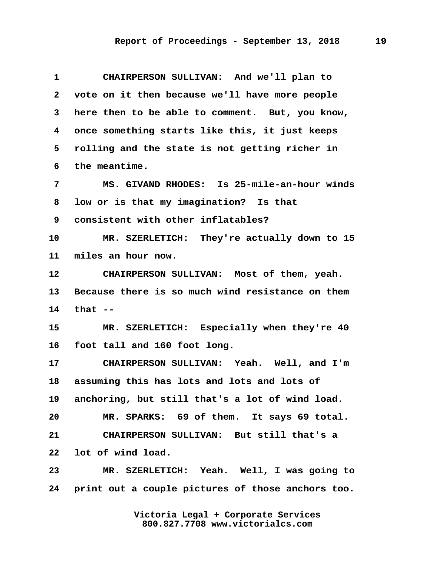**1 CHAIRPERSON SULLIVAN: And we'll plan to 2 vote on it then because we'll have more people 3 here then to be able to comment. But, you know, 4 once something starts like this, it just keeps 5 rolling and the state is not getting richer in 6 the meantime. 7 MS. GIVAND RHODES: Is 25-mile-an-hour winds 8 low or is that my imagination? Is that 9 consistent with other inflatables? 10 MR. SZERLETICH: They're actually down to 15 11 miles an hour now. 12 CHAIRPERSON SULLIVAN: Most of them, yeah. 13 Because there is so much wind resistance on them 14 that -- 15 MR. SZERLETICH: Especially when they're 40 16 foot tall and 160 foot long. 17 CHAIRPERSON SULLIVAN: Yeah. Well, and I'm 18 assuming this has lots and lots and lots of 19 anchoring, but still that's a lot of wind load. 20 MR. SPARKS: 69 of them. It says 69 total. 21 CHAIRPERSON SULLIVAN: But still that's a 22 lot of wind load. 23 MR. SZERLETICH: Yeah. Well, I was going to 24 print out a couple pictures of those anchors too.**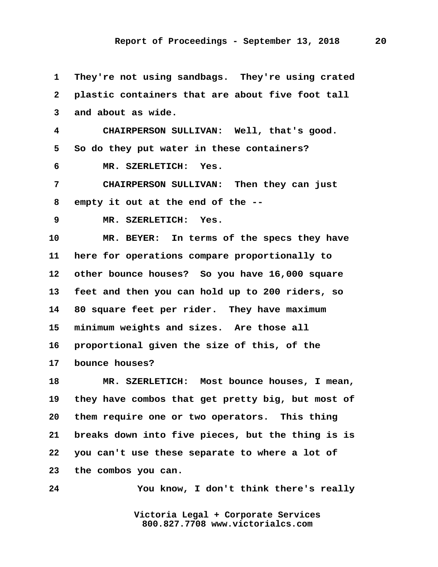**1 They're not using sandbags. They're using crated 2 plastic containers that are about five foot tall 3 and about as wide.**

 **4 CHAIRPERSON SULLIVAN: Well, that's good. 5 So do they put water in these containers?**

 **6 MR. SZERLETICH: Yes.**

 **7 CHAIRPERSON SULLIVAN: Then they can just 8 empty it out at the end of the --**

 **9 MR. SZERLETICH: Yes.**

**10 MR. BEYER: In terms of the specs they have 11 here for operations compare proportionally to 12 other bounce houses? So you have 16,000 square 13 feet and then you can hold up to 200 riders, so 14 80 square feet per rider. They have maximum 15 minimum weights and sizes. Are those all 16 proportional given the size of this, of the 17 bounce houses?**

**18 MR. SZERLETICH: Most bounce houses, I mean, 19 they have combos that get pretty big, but most of 20 them require one or two operators. This thing 21 breaks down into five pieces, but the thing is is 22 you can't use these separate to where a lot of 23 the combos you can.**

**24 You know, I don't think there's really**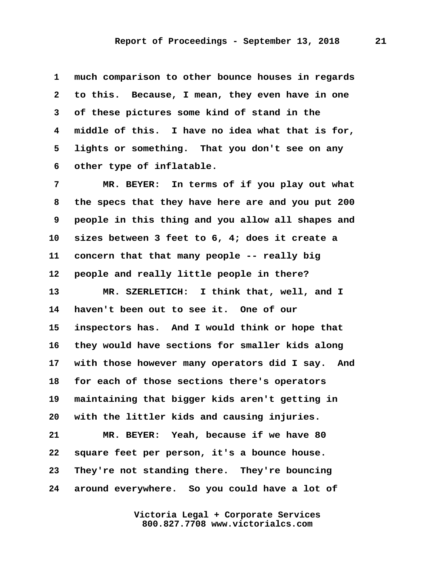**1 much comparison to other bounce houses in regards 2 to this. Because, I mean, they even have in one 3 of these pictures some kind of stand in the 4 middle of this. I have no idea what that is for, 5 lights or something. That you don't see on any 6 other type of inflatable.**

 **7 MR. BEYER: In terms of if you play out what 8 the specs that they have here are and you put 200 9 people in this thing and you allow all shapes and 10 sizes between 3 feet to 6, 4; does it create a 11 concern that that many people -- really big 12 people and really little people in there? 13 MR. SZERLETICH: I think that, well, and I 14 haven't been out to see it. One of our 15 inspectors has. And I would think or hope that 16 they would have sections for smaller kids along 17 with those however many operators did I say. And 18 for each of those sections there's operators 19 maintaining that bigger kids aren't getting in 20 with the littler kids and causing injuries. 21 MR. BEYER: Yeah, because if we have 80 22 square feet per person, it's a bounce house. 23 They're not standing there. They're bouncing 24 around everywhere. So you could have a lot of**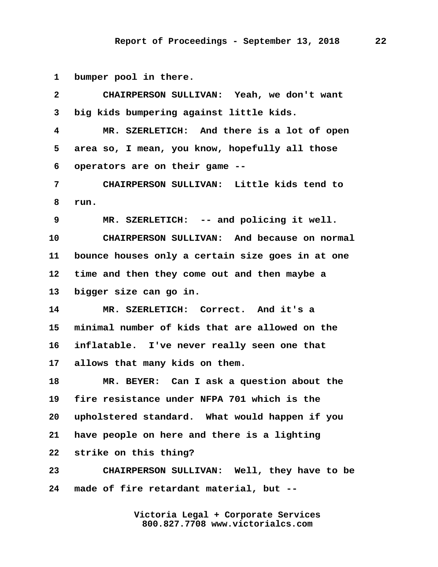**1 bumper pool in there.**

 **2 CHAIRPERSON SULLIVAN: Yeah, we don't want 3 big kids bumpering against little kids. 4 MR. SZERLETICH: And there is a lot of open 5 area so, I mean, you know, hopefully all those 6 operators are on their game -- 7 CHAIRPERSON SULLIVAN: Little kids tend to 8 run. 9 MR. SZERLETICH: -- and policing it well. 10 CHAIRPERSON SULLIVAN: And because on normal 11 bounce houses only a certain size goes in at one 12 time and then they come out and then maybe a 13 bigger size can go in. 14 MR. SZERLETICH: Correct. And it's a 15 minimal number of kids that are allowed on the 16 inflatable. I've never really seen one that 17 allows that many kids on them. 18 MR. BEYER: Can I ask a question about the 19 fire resistance under NFPA 701 which is the 20 upholstered standard. What would happen if you 21 have people on here and there is a lighting 22 strike on this thing? 23 CHAIRPERSON SULLIVAN: Well, they have to be 24 made of fire retardant material, but --**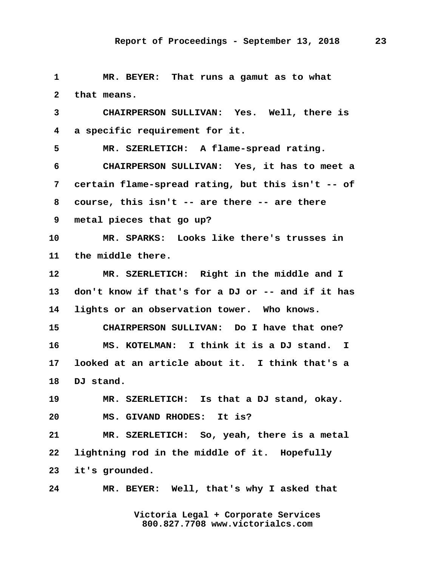**1 MR. BEYER: That runs a gamut as to what 2 that means. 3 CHAIRPERSON SULLIVAN: Yes. Well, there is 4 a specific requirement for it. 5 MR. SZERLETICH: A flame-spread rating. 6 CHAIRPERSON SULLIVAN: Yes, it has to meet a 7 certain flame-spread rating, but this isn't -- of 8 course, this isn't -- are there -- are there 9 metal pieces that go up? 10 MR. SPARKS: Looks like there's trusses in 11 the middle there. 12 MR. SZERLETICH: Right in the middle and I 13 don't know if that's for a DJ or -- and if it has 14 lights or an observation tower. Who knows. 15 CHAIRPERSON SULLIVAN: Do I have that one? 16 MS. KOTELMAN: I think it is a DJ stand. I 17 looked at an article about it. I think that's a 18 DJ stand. 19 MR. SZERLETICH: Is that a DJ stand, okay. 20 MS. GIVAND RHODES: It is? 21 MR. SZERLETICH: So, yeah, there is a metal 22 lightning rod in the middle of it. Hopefully 23 it's grounded. 24 MR. BEYER: Well, that's why I asked that**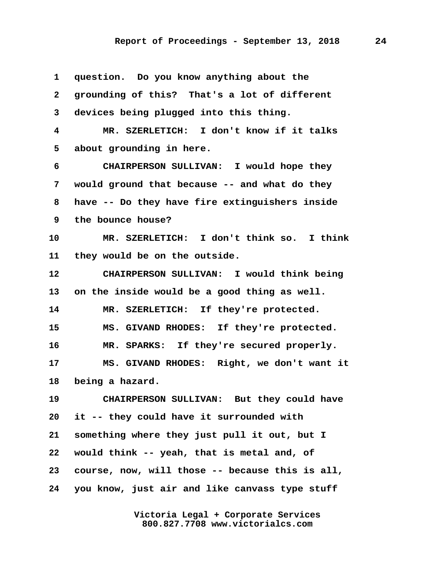| 1            | question. Do you know anything about the        |
|--------------|-------------------------------------------------|
| $\mathbf{2}$ | grounding of this? That's a lot of different    |
| 3            | devices being plugged into this thing.          |
| 4            | MR. SZERLETICH: I don't know if it talks        |
| 5            | about grounding in here.                        |
| 6            | CHAIRPERSON SULLIVAN: I would hope they         |
| 7            | would ground that because -- and what do they   |
| 8            | have -- Do they have fire extinguishers inside  |
| 9            | the bounce house?                               |
| 10           | MR. SZERLETICH: I don't think so. I think       |
| 11           | they would be on the outside.                   |
| 12           | CHAIRPERSON SULLIVAN: I would think being       |
| 13           | on the inside would be a good thing as well.    |
| 14           | MR. SZERLETICH: If they're protected.           |
| 15           | MS. GIVAND RHODES: If they're protected.        |
| 16           | MR. SPARKS: If they're secured properly.        |
| 17           | MS. GIVAND RHODES: Right, we don't want it      |
| 18           | being a hazard.                                 |
| 19           | CHAIRPERSON SULLIVAN: But they could have       |
| 20           | it -- they could have it surrounded with        |
| 21           | something where they just pull it out, but I    |
| 22           | would think -- yeah, that is metal and, of      |
| 23           | course, now, will those -- because this is all, |
| 24           | you know, just air and like canvass type stuff  |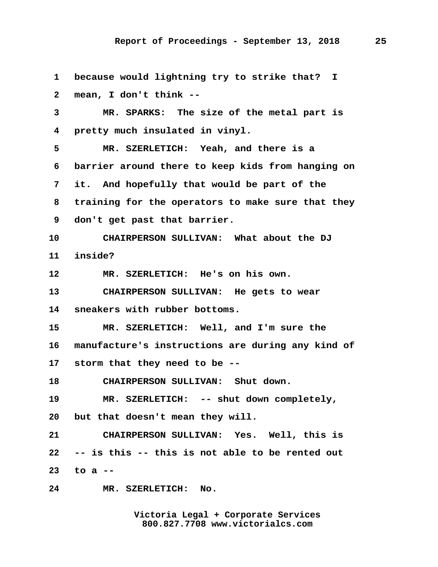**1 because would lightning try to strike that? I 2 mean, I don't think -- 3 MR. SPARKS: The size of the metal part is 4 pretty much insulated in vinyl. 5 MR. SZERLETICH: Yeah, and there is a 6 barrier around there to keep kids from hanging on 7 it. And hopefully that would be part of the 8 training for the operators to make sure that they 9 don't get past that barrier. 10 CHAIRPERSON SULLIVAN: What about the DJ 11 inside? 12 MR. SZERLETICH: He's on his own. 13 CHAIRPERSON SULLIVAN: He gets to wear 14 sneakers with rubber bottoms. 15 MR. SZERLETICH: Well, and I'm sure the 16 manufacture's instructions are during any kind of 17 storm that they need to be -- 18 CHAIRPERSON SULLIVAN: Shut down. 19 MR. SZERLETICH: -- shut down completely, 20 but that doesn't mean they will. 21 CHAIRPERSON SULLIVAN: Yes. Well, this is 22 -- is this -- this is not able to be rented out 23 to a -- 24 MR. SZERLETICH: No.**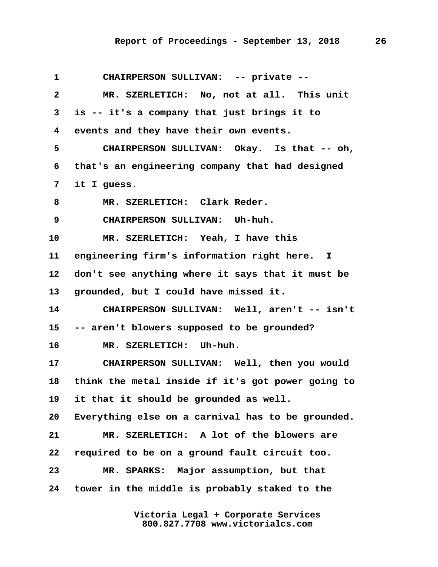| $\mathbf 1$     | CHAIRPERSON SULLIVAN: -- private --               |
|-----------------|---------------------------------------------------|
| $\mathbf{2}$    | MR. SZERLETICH: No, not at all. This unit         |
| 3               | is -- it's a company that just brings it to       |
| 4               | events and they have their own events.            |
| 5               | CHAIRPERSON SULLIVAN: Okay. Is that -- oh,        |
| 6               | that's an engineering company that had designed   |
| 7               | it I guess.                                       |
| 8               | MR. SZERLETICH: Clark Reder.                      |
| 9               | CHAIRPERSON SULLIVAN: Uh-huh.                     |
| 10              | MR. SZERLETICH: Yeah, I have this                 |
| 11              | engineering firm's information right here. I      |
| 12              | don't see anything where it says that it must be  |
| 13              | grounded, but I could have missed it.             |
| 14              | CHAIRPERSON SULLIVAN: Well, aren't -- isn't       |
| 15              | -- aren't blowers supposed to be grounded?        |
| 16              | MR. SZERLETICH: Uh-huh.                           |
| 17 <sub>2</sub> | CHAIRPERSON SULLIVAN: Well, then you would        |
| 18              | think the metal inside if it's got power going to |
| 19              | it that it should be grounded as well.            |
| 20              | Everything else on a carnival has to be grounded. |
| 21              | MR. SZERLETICH: A lot of the blowers are          |
| 22              | required to be on a ground fault circuit too.     |
| 23              | MR. SPARKS: Major assumption, but that            |
| 24              | tower in the middle is probably staked to the     |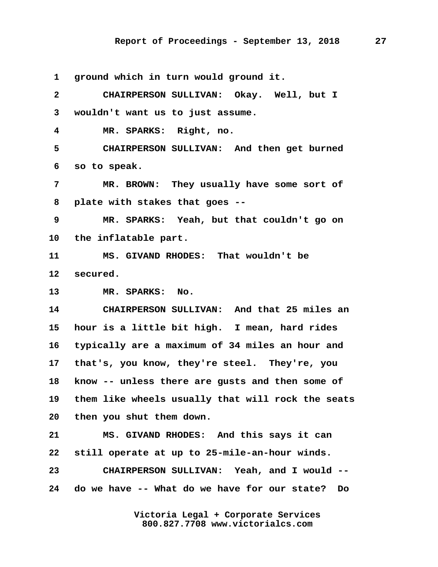**1 ground which in turn would ground it.**

 **2 CHAIRPERSON SULLIVAN: Okay. Well, but I 3 wouldn't want us to just assume. 4 MR. SPARKS: Right, no. 5 CHAIRPERSON SULLIVAN: And then get burned 6 so to speak. 7 MR. BROWN: They usually have some sort of 8 plate with stakes that goes -- 9 MR. SPARKS: Yeah, but that couldn't go on 10 the inflatable part. 11 MS. GIVAND RHODES: That wouldn't be 12 secured. 13 MR. SPARKS: No. 14 CHAIRPERSON SULLIVAN: And that 25 miles an 15 hour is a little bit high. I mean, hard rides 16 typically are a maximum of 34 miles an hour and 17 that's, you know, they're steel. They're, you 18 know -- unless there are gusts and then some of 19 them like wheels usually that will rock the seats 20 then you shut them down. 21 MS. GIVAND RHODES: And this says it can 22 still operate at up to 25-mile-an-hour winds. 23 CHAIRPERSON SULLIVAN: Yeah, and I would -- 24 do we have -- What do we have for our state? Do**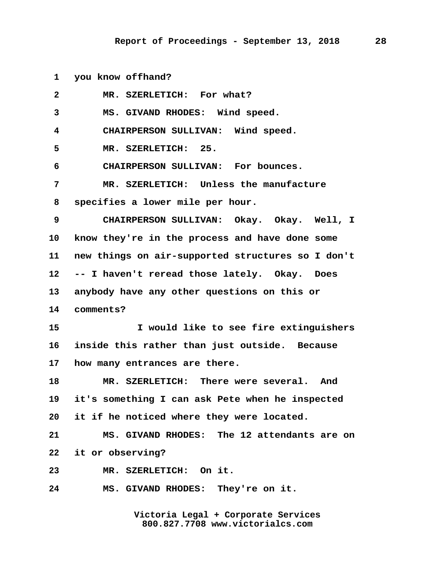**1 you know offhand?**

| $\mathbf{2}$ | MR. SZERLETICH: For what?                         |
|--------------|---------------------------------------------------|
| 3            | MS. GIVAND RHODES: Wind speed.                    |
| 4            | CHAIRPERSON SULLIVAN: Wind speed.                 |
| 5            | MR. SZERLETICH: 25.                               |
| 6            | CHAIRPERSON SULLIVAN: For bounces.                |
| 7            | MR. SZERLETICH: Unless the manufacture            |
| 8            | specifies a lower mile per hour.                  |
| 9            | CHAIRPERSON SULLIVAN: Okay. Okay. Well, I         |
| 10           | know they're in the process and have done some    |
| 11           | new things on air-supported structures so I don't |
| 12           | -- I haven't reread those lately. Okay. Does      |
| 13           | anybody have any other questions on this or       |
| 14           | comments?                                         |
| 15           | I would like to see fire extinguishers            |
| 16           | inside this rather than just outside. Because     |
| $17\,$       | how many entrances are there.                     |
| 18           | MR. SZERLETICH: There were several. And           |
| 19           | it's something I can ask Pete when he inspected   |
| 20           | it if he noticed where they were located.         |
| 21           | MS. GIVAND RHODES: The 12 attendants are on       |
| 22           | it or observing?                                  |
| 23           | MR. SZERLETICH: On it.                            |
| 24           | MS. GIVAND RHODES: They're on it.                 |
|              |                                                   |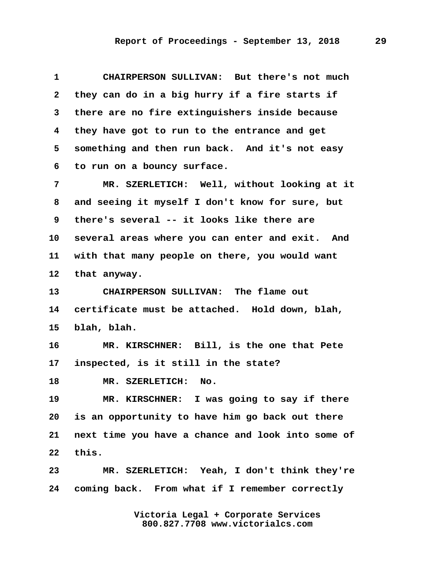**1 CHAIRPERSON SULLIVAN: But there's not much 2 they can do in a big hurry if a fire starts if 3 there are no fire extinguishers inside because 4 they have got to run to the entrance and get 5 something and then run back. And it's not easy 6 to run on a bouncy surface.**

 **7 MR. SZERLETICH: Well, without looking at it 8 and seeing it myself I don't know for sure, but 9 there's several -- it looks like there are 10 several areas where you can enter and exit. And 11 with that many people on there, you would want 12 that anyway.**

**13 CHAIRPERSON SULLIVAN: The flame out 14 certificate must be attached. Hold down, blah, 15 blah, blah.**

**16 MR. KIRSCHNER: Bill, is the one that Pete 17 inspected, is it still in the state?**

**18 MR. SZERLETICH: No.**

**19 MR. KIRSCHNER: I was going to say if there 20 is an opportunity to have him go back out there 21 next time you have a chance and look into some of 22 this.**

**23 MR. SZERLETICH: Yeah, I don't think they're 24 coming back. From what if I remember correctly**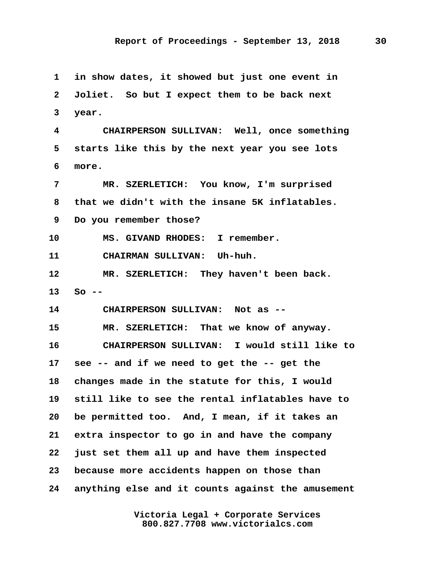**1 in show dates, it showed but just one event in 2 Joliet. So but I expect them to be back next 3 year. 4 CHAIRPERSON SULLIVAN: Well, once something 5 starts like this by the next year you see lots 6 more. 7 MR. SZERLETICH: You know, I'm surprised 8 that we didn't with the insane 5K inflatables. 9 Do you remember those? 10 MS. GIVAND RHODES: I remember. 11 CHAIRMAN SULLIVAN: Uh-huh. 12 MR. SZERLETICH: They haven't been back. 13 So -- 14 CHAIRPERSON SULLIVAN: Not as -- 15 MR. SZERLETICH: That we know of anyway. 16 CHAIRPERSON SULLIVAN: I would still like to 17 see -- and if we need to get the -- get the 18 changes made in the statute for this, I would 19 still like to see the rental inflatables have to 20 be permitted too. And, I mean, if it takes an 21 extra inspector to go in and have the company 22 just set them all up and have them inspected 23 because more accidents happen on those than 24 anything else and it counts against the amusement**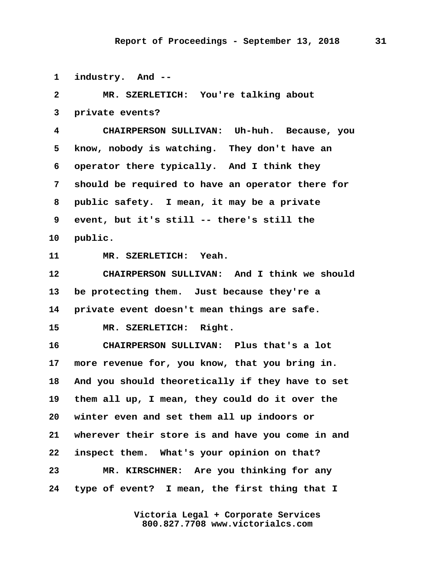**1 industry. And --**

 **2 MR. SZERLETICH: You're talking about 3 private events? 4 CHAIRPERSON SULLIVAN: Uh-huh. Because, you 5 know, nobody is watching. They don't have an 6 operator there typically. And I think they 7 should be required to have an operator there for 8 public safety. I mean, it may be a private 9 event, but it's still -- there's still the 10 public. 11 MR. SZERLETICH: Yeah. 12 CHAIRPERSON SULLIVAN: And I think we should 13 be protecting them. Just because they're a 14 private event doesn't mean things are safe. 15 MR. SZERLETICH: Right. 16 CHAIRPERSON SULLIVAN: Plus that's a lot 17 more revenue for, you know, that you bring in. 18 And you should theoretically if they have to set 19 them all up, I mean, they could do it over the 20 winter even and set them all up indoors or 21 wherever their store is and have you come in and 22 inspect them. What's your opinion on that? 23 MR. KIRSCHNER: Are you thinking for any 24 type of event? I mean, the first thing that I**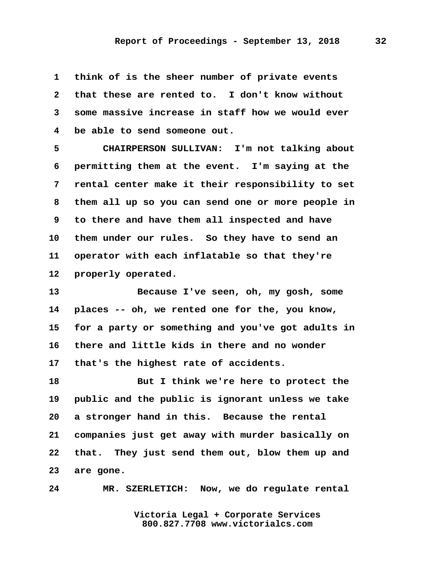**1 think of is the sheer number of private events 2 that these are rented to. I don't know without 3 some massive increase in staff how we would ever 4 be able to send someone out.**

 **5 CHAIRPERSON SULLIVAN: I'm not talking about 6 permitting them at the event. I'm saying at the 7 rental center make it their responsibility to set 8 them all up so you can send one or more people in 9 to there and have them all inspected and have 10 them under our rules. So they have to send an 11 operator with each inflatable so that they're 12 properly operated.**

**13 Because I've seen, oh, my gosh, some 14 places -- oh, we rented one for the, you know, 15 for a party or something and you've got adults in 16 there and little kids in there and no wonder 17 that's the highest rate of accidents.**

**18 But I think we're here to protect the 19 public and the public is ignorant unless we take 20 a stronger hand in this. Because the rental 21 companies just get away with murder basically on 22 that. They just send them out, blow them up and 23 are gone.**

**24 MR. SZERLETICH: Now, we do regulate rental**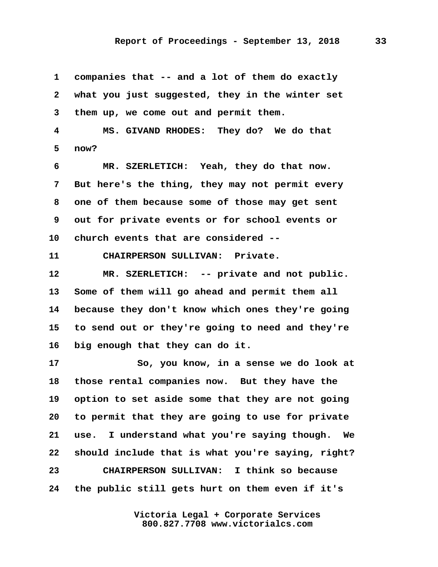**1 companies that -- and a lot of them do exactly 2 what you just suggested, they in the winter set 3 them up, we come out and permit them. 4 MS. GIVAND RHODES: They do? We do that 5 now? 6 MR. SZERLETICH: Yeah, they do that now. 7 But here's the thing, they may not permit every 8 one of them because some of those may get sent 9 out for private events or for school events or 10 church events that are considered -- 11 CHAIRPERSON SULLIVAN: Private. 12 MR. SZERLETICH: -- private and not public. 13 Some of them will go ahead and permit them all 14 because they don't know which ones they're going 15 to send out or they're going to need and they're 16 big enough that they can do it. 17 So, you know, in a sense we do look at 18 those rental companies now. But they have the 19 option to set aside some that they are not going 20 to permit that they are going to use for private 21 use. I understand what you're saying though. We 22 should include that is what you're saying, right? 23 CHAIRPERSON SULLIVAN: I think so because 24 the public still gets hurt on them even if it's**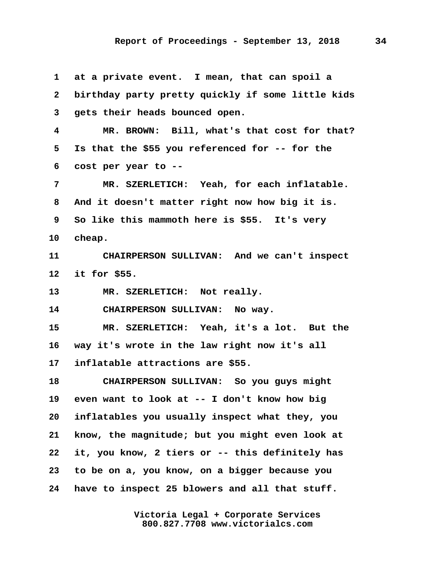**1 at a private event. I mean, that can spoil a 2 birthday party pretty quickly if some little kids 3 gets their heads bounced open. 4 MR. BROWN: Bill, what's that cost for that? 5 Is that the \$55 you referenced for -- for the 6 cost per year to -- 7 MR. SZERLETICH: Yeah, for each inflatable. 8 And it doesn't matter right now how big it is. 9 So like this mammoth here is \$55. It's very 10 cheap. 11 CHAIRPERSON SULLIVAN: And we can't inspect 12 it for \$55. 13 MR. SZERLETICH: Not really. 14 CHAIRPERSON SULLIVAN: No way. 15 MR. SZERLETICH: Yeah, it's a lot. But the 16 way it's wrote in the law right now it's all 17 inflatable attractions are \$55. 18 CHAIRPERSON SULLIVAN: So you guys might 19 even want to look at -- I don't know how big 20 inflatables you usually inspect what they, you 21 know, the magnitude; but you might even look at 22 it, you know, 2 tiers or -- this definitely has 23 to be on a, you know, on a bigger because you 24 have to inspect 25 blowers and all that stuff.**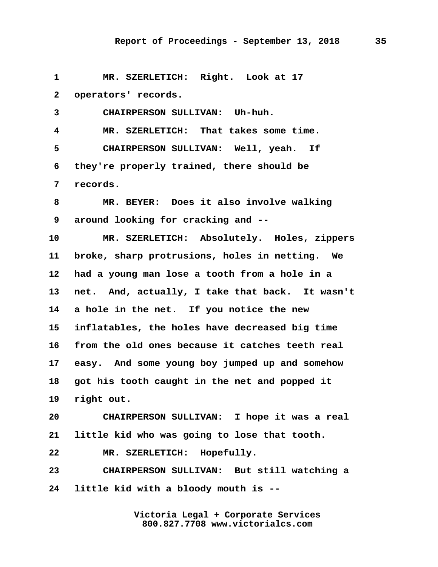**1 MR. SZERLETICH: Right. Look at 17 2 operators' records. 3 CHAIRPERSON SULLIVAN: Uh-huh.**

 **4 MR. SZERLETICH: That takes some time. 5 CHAIRPERSON SULLIVAN: Well, yeah. If 6 they're properly trained, there should be 7 records.**

 **8 MR. BEYER: Does it also involve walking 9 around looking for cracking and --**

**10 MR. SZERLETICH: Absolutely. Holes, zippers 11 broke, sharp protrusions, holes in netting. We 12 had a young man lose a tooth from a hole in a 13 net. And, actually, I take that back. It wasn't 14 a hole in the net. If you notice the new 15 inflatables, the holes have decreased big time 16 from the old ones because it catches teeth real 17 easy. And some young boy jumped up and somehow 18 got his tooth caught in the net and popped it 19 right out.**

**20 CHAIRPERSON SULLIVAN: I hope it was a real 21 little kid who was going to lose that tooth.**

**22 MR. SZERLETICH: Hopefully.**

**23 CHAIRPERSON SULLIVAN: But still watching a 24 little kid with a bloody mouth is --**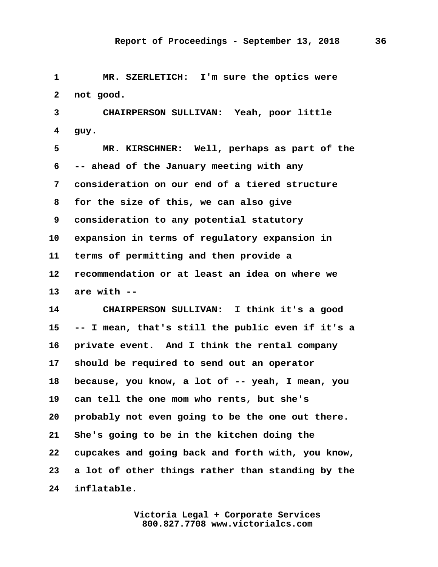**1 MR. SZERLETICH: I'm sure the optics were 2 not good.**

 **3 CHAIRPERSON SULLIVAN: Yeah, poor little 4 guy.**

 **5 MR. KIRSCHNER: Well, perhaps as part of the 6 -- ahead of the January meeting with any 7 consideration on our end of a tiered structure 8 for the size of this, we can also give 9 consideration to any potential statutory 10 expansion in terms of regulatory expansion in 11 terms of permitting and then provide a 12 recommendation or at least an idea on where we 13 are with --**

**14 CHAIRPERSON SULLIVAN: I think it's a good 15 -- I mean, that's still the public even if it's a 16 private event. And I think the rental company 17 should be required to send out an operator 18 because, you know, a lot of -- yeah, I mean, you 19 can tell the one mom who rents, but she's 20 probably not even going to be the one out there. 21 She's going to be in the kitchen doing the 22 cupcakes and going back and forth with, you know, 23 a lot of other things rather than standing by the 24 inflatable.**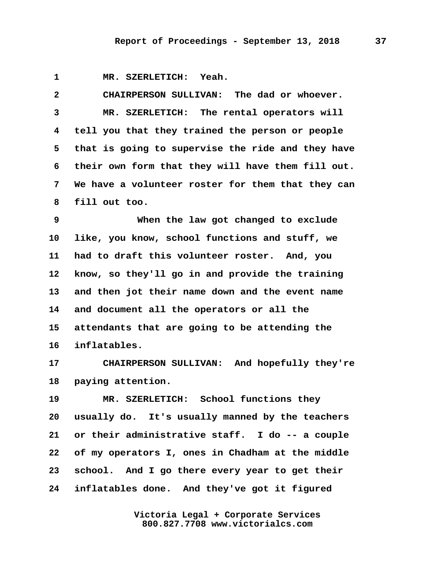**1 MR. SZERLETICH: Yeah.**

 **2 CHAIRPERSON SULLIVAN: The dad or whoever. 3 MR. SZERLETICH: The rental operators will 4 tell you that they trained the person or people 5 that is going to supervise the ride and they have 6 their own form that they will have them fill out. 7 We have a volunteer roster for them that they can 8 fill out too.**

 **9 When the law got changed to exclude 10 like, you know, school functions and stuff, we 11 had to draft this volunteer roster. And, you 12 know, so they'll go in and provide the training 13 and then jot their name down and the event name 14 and document all the operators or all the 15 attendants that are going to be attending the 16 inflatables.**

**17 CHAIRPERSON SULLIVAN: And hopefully they're 18 paying attention.**

**19 MR. SZERLETICH: School functions they 20 usually do. It's usually manned by the teachers 21 or their administrative staff. I do -- a couple 22 of my operators I, ones in Chadham at the middle 23 school. And I go there every year to get their 24 inflatables done. And they've got it figured**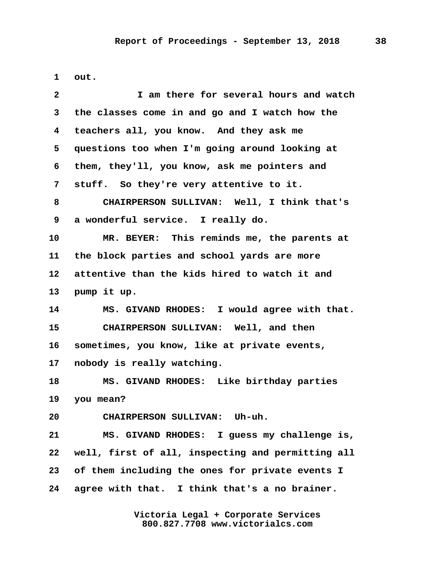**1 out.**

| $\mathbf{2}$ | I am there for several hours and watch            |
|--------------|---------------------------------------------------|
| 3            | the classes come in and go and I watch how the    |
| 4            | teachers all, you know. And they ask me           |
| 5            | questions too when I'm going around looking at    |
| 6            | them, they'll, you know, ask me pointers and      |
| 7            | stuff. So they're very attentive to it.           |
| 8            | CHAIRPERSON SULLIVAN: Well, I think that's        |
| 9            | a wonderful service. I really do.                 |
| 10           | MR. BEYER: This reminds me, the parents at        |
| 11           | the block parties and school yards are more       |
| 12           | attentive than the kids hired to watch it and     |
| 13           | pump it up.                                       |
| 14           | MS. GIVAND RHODES: I would agree with that.       |
| 15           | CHAIRPERSON SULLIVAN: Well, and then              |
| 16           | sometimes, you know, like at private events,      |
| 17           | nobody is really watching.                        |
| 18           | MS. GIVAND RHODES: Like birthday parties          |
| 19           | you mean?                                         |
| 20           | CHAIRPERSON SULLIVAN: Uh-uh.                      |
| 21           | MS. GIVAND RHODES: I guess my challenge is,       |
| 22           | well, first of all, inspecting and permitting all |
| 23           | of them including the ones for private events I   |
| 24           | agree with that. I think that's a no brainer.     |
|              |                                                   |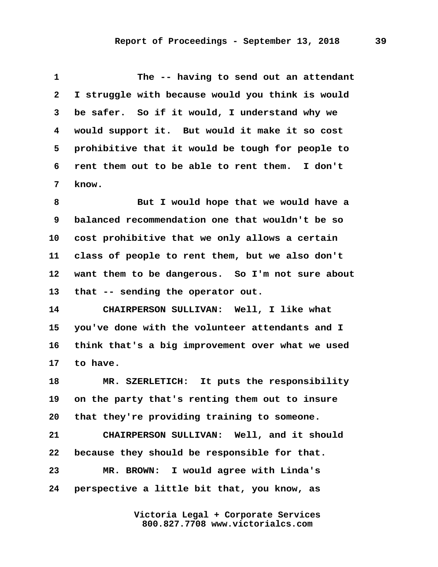| 1            | The -- having to send out an attendant           |
|--------------|--------------------------------------------------|
| $\mathbf{2}$ | I struggle with because would you think is would |
| $\mathbf{3}$ | be safer. So if it would, I understand why we    |
| 4            | would support it. But would it make it so cost   |
| 5.           | prohibitive that it would be tough for people to |
| 6            | rent them out to be able to rent them. I don't   |
|              | know.                                            |

 **8 But I would hope that we would have a 9 balanced recommendation one that wouldn't be so 10 cost prohibitive that we only allows a certain 11 class of people to rent them, but we also don't 12 want them to be dangerous. So I'm not sure about 13 that -- sending the operator out.**

**14 CHAIRPERSON SULLIVAN: Well, I like what 15 you've done with the volunteer attendants and I 16 think that's a big improvement over what we used 17 to have.**

**18 MR. SZERLETICH: It puts the responsibility 19 on the party that's renting them out to insure 20 that they're providing training to someone.**

**21 CHAIRPERSON SULLIVAN: Well, and it should 22 because they should be responsible for that. 23 MR. BROWN: I would agree with Linda's 24 perspective a little bit that, you know, as**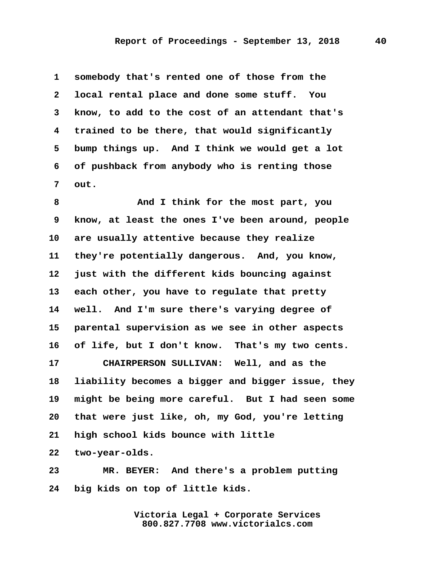**1 somebody that's rented one of those from the 2 local rental place and done some stuff. You 3 know, to add to the cost of an attendant that's 4 trained to be there, that would significantly 5 bump things up. And I think we would get a lot 6 of pushback from anybody who is renting those 7 out.**

 **8 And I think for the most part, you 9 know, at least the ones I've been around, people 10 are usually attentive because they realize 11 they're potentially dangerous. And, you know, 12 just with the different kids bouncing against 13 each other, you have to regulate that pretty 14 well. And I'm sure there's varying degree of 15 parental supervision as we see in other aspects 16 of life, but I don't know. That's my two cents. 17 CHAIRPERSON SULLIVAN: Well, and as the 18 liability becomes a bigger and bigger issue, they 19 might be being more careful. But I had seen some 20 that were just like, oh, my God, you're letting 21 high school kids bounce with little 22 two-year-olds.**

**23 MR. BEYER: And there's a problem putting 24 big kids on top of little kids.**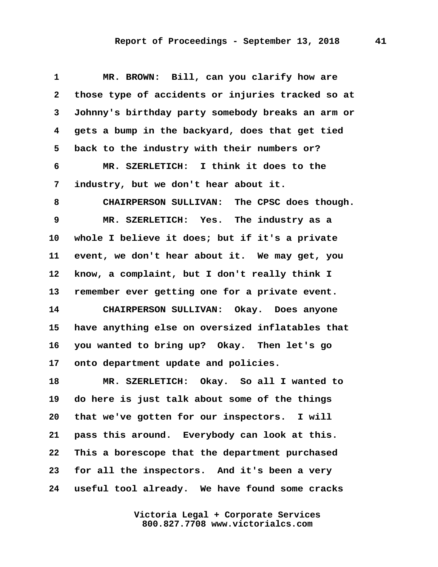## **Report of Proceedings - September 13, 2018 41**

| $\mathbf 1$  | MR. BROWN: Bill, can you clarify how are          |
|--------------|---------------------------------------------------|
| $\mathbf{2}$ | those type of accidents or injuries tracked so at |
| 3            | Johnny's birthday party somebody breaks an arm or |
| 4            | gets a bump in the backyard, does that get tied   |
| 5            | back to the industry with their numbers or?       |
| 6            | MR. SZERLETICH: I think it does to the            |
| 7            | industry, but we don't hear about it.             |
| 8            | CHAIRPERSON SULLIVAN: The CPSC does though.       |
| 9            | MR. SZERLETICH: Yes. The industry as a            |
| 10           | whole I believe it does; but if it's a private    |
| 11           | event, we don't hear about it. We may get, you    |
| 12           | know, a complaint, but I don't really think I     |
| 13           | remember ever getting one for a private event.    |
| 14           | CHAIRPERSON SULLIVAN: Okay. Does anyone           |
| 15           | have anything else on oversized inflatables that  |
| 16           | you wanted to bring up? Okay. Then let's go       |
| 17           | onto department update and policies.              |
| 18           | Okay. So all I wanted to<br>MR. SZERLETICH:       |
| 19           | do here is just talk about some of the things     |
| 20           | that we've gotten for our inspectors. I will      |
| 21           | pass this around. Everybody can look at this.     |
| 22           | This a borescope that the department purchased    |
| 23           | for all the inspectors. And it's been a very      |
| 24           | useful tool already. We have found some cracks    |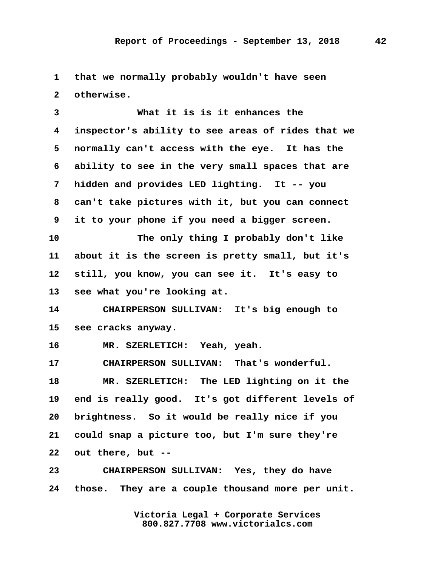**1 that we normally probably wouldn't have seen 2 otherwise.**

 **3 What it is is it enhances the 4 inspector's ability to see areas of rides that we 5 normally can't access with the eye. It has the 6 ability to see in the very small spaces that are 7 hidden and provides LED lighting. It -- you 8 can't take pictures with it, but you can connect 9 it to your phone if you need a bigger screen. 10 The only thing I probably don't like 11 about it is the screen is pretty small, but it's 12 still, you know, you can see it. It's easy to 13 see what you're looking at. 14 CHAIRPERSON SULLIVAN: It's big enough to 15 see cracks anyway. 16 MR. SZERLETICH: Yeah, yeah. 17 CHAIRPERSON SULLIVAN: That's wonderful. 18 MR. SZERLETICH: The LED lighting on it the 19 end is really good. It's got different levels of 20 brightness. So it would be really nice if you 21 could snap a picture too, but I'm sure they're 22 out there, but -- 23 CHAIRPERSON SULLIVAN: Yes, they do have**

**24 those. They are a couple thousand more per unit.**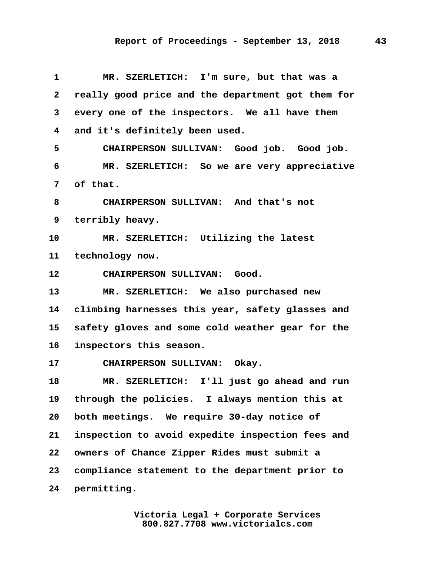| $\mathbf{1}$    | MR. SZERLETICH: I'm sure, but that was a          |
|-----------------|---------------------------------------------------|
| $\mathbf{2}$    | really good price and the department got them for |
| 3               | every one of the inspectors. We all have them     |
| 4               | and it's definitely been used.                    |
| 5               | CHAIRPERSON SULLIVAN: Good job. Good job.         |
| 6               | MR. SZERLETICH: So we are very appreciative       |
| 7               | of that.                                          |
| 8               | CHAIRPERSON SULLIVAN: And that's not              |
| 9               | terribly heavy.                                   |
| 10              | MR. SZERLETICH: Utilizing the latest              |
| 11              | technology now.                                   |
| 12 <sub>2</sub> | CHAIRPERSON SULLIVAN: Good.                       |
| 13              | MR. SZERLETICH: We also purchased new             |
| 14              | climbing harnesses this year, safety glasses and  |
| 15              | safety gloves and some cold weather gear for the  |
| 16              | inspectors this season.                           |
| 17 <sub>2</sub> | CHAIRPERSON SULLIVAN: Okay.                       |
| 18              | MR. SZERLETICH: I'll just go ahead and run        |
| 19              | through the policies. I always mention this at    |
| 20              | both meetings. We require 30-day notice of        |
| 21              | inspection to avoid expedite inspection fees and  |
| $22 \,$         | owners of Chance Zipper Rides must submit a       |
| 23              | compliance statement to the department prior to   |
| 24              | permitting.                                       |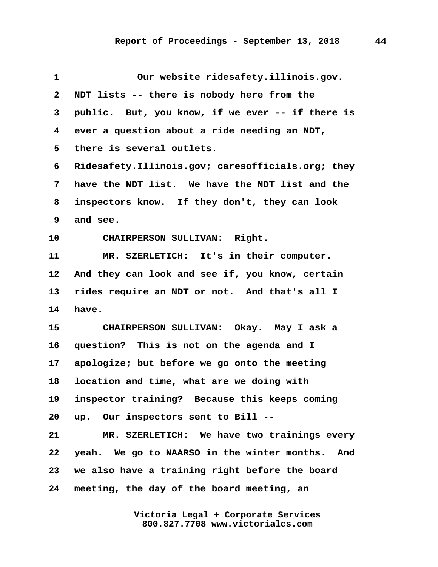| $\mathbf{1}$ | Our website ridesafety.illinois.gov.              |
|--------------|---------------------------------------------------|
| $\mathbf{2}$ | NDT lists -- there is nobody here from the        |
| 3            | public. But, you know, if we ever -- if there is  |
| 4            | ever a question about a ride needing an NDT,      |
| 5            | there is several outlets.                         |
| 6            | Ridesafety.Illinois.gov; caresofficials.org; they |
| 7            | have the NDT list. We have the NDT list and the   |
| 8            | inspectors know. If they don't, they can look     |
| 9            | and see.                                          |
| 10           | CHAIRPERSON SULLIVAN: Right.                      |
| 11           | MR. SZERLETICH: It's in their computer.           |
| 12           | And they can look and see if, you know, certain   |
| 13           | rides require an NDT or not. And that's all I     |
| 14           | have.                                             |
| 15           | CHAIRPERSON SULLIVAN: Okay. May I ask a           |
| 16           | question? This is not on the agenda and I         |
| $17\,$       | apologize; but before we go onto the meeting      |
| 18           | location and time, what are we doing with         |
| 19           | inspector training? Because this keeps coming     |
| 20           | up. Our inspectors sent to Bill --                |
| 21           | MR. SZERLETICH: We have two trainings every       |
| 22           | yeah. We go to NAARSO in the winter months. And   |
| 23           | we also have a training right before the board    |
| 24           | meeting, the day of the board meeting, an         |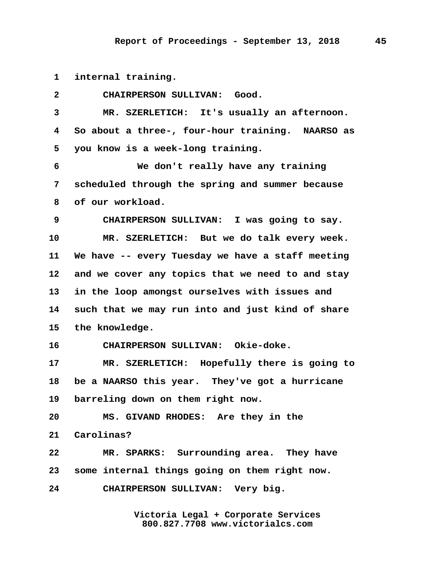**1 internal training.**

| $\overline{2}$  | CHAIRPERSON SULLIVAN: Good.                      |
|-----------------|--------------------------------------------------|
| 3               | MR. SZERLETICH: It's usually an afternoon.       |
| 4               | So about a three-, four-hour training. NAARSO as |
| 5               | you know is a week-long training.                |
| 6               | We don't really have any training                |
| 7               | scheduled through the spring and summer because  |
| 8               | of our workload.                                 |
| 9               | CHAIRPERSON SULLIVAN: I was going to say.        |
| 10              | MR. SZERLETICH: But we do talk every week.       |
| 11              | We have -- every Tuesday we have a staff meeting |
| 12              | and we cover any topics that we need to and stay |
| 13              | in the loop amongst ourselves with issues and    |
| 14              | such that we may run into and just kind of share |
| 15              | the knowledge.                                   |
| 16              | CHAIRPERSON SULLIVAN: Okie-doke.                 |
| 17 <sub>2</sub> | MR. SZERLETICH: Hopefully there is going to      |
| 18              | be a NAARSO this year. They've got a hurricane   |
| 19              | barreling down on them right now.                |
| 20              | MS. GIVAND RHODES: Are they in the               |
| 21              | Carolinas?                                       |
| 22              | MR. SPARKS: Surrounding area. They have          |
| 23              | some internal things going on them right now.    |
| 24              | CHAIRPERSON SULLIVAN: Very big.                  |
|                 |                                                  |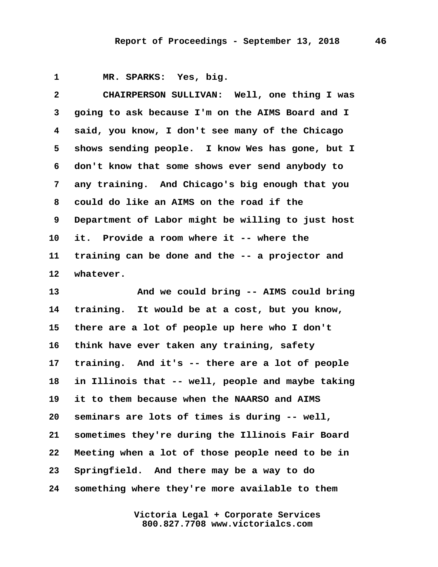**1 MR. SPARKS: Yes, big.**

 **2 CHAIRPERSON SULLIVAN: Well, one thing I was 3 going to ask because I'm on the AIMS Board and I 4 said, you know, I don't see many of the Chicago 5 shows sending people. I know Wes has gone, but I 6 don't know that some shows ever send anybody to 7 any training. And Chicago's big enough that you 8 could do like an AIMS on the road if the 9 Department of Labor might be willing to just host 10 it. Provide a room where it -- where the 11 training can be done and the -- a projector and 12 whatever. 13 And we could bring -- AIMS could bring 14 training. It would be at a cost, but you know, 15 there are a lot of people up here who I don't 16 think have ever taken any training, safety 17 training. And it's -- there are a lot of people 18 in Illinois that -- well, people and maybe taking 19 it to them because when the NAARSO and AIMS 20 seminars are lots of times is during -- well, 21 sometimes they're during the Illinois Fair Board**

**22 Meeting when a lot of those people need to be in 23 Springfield. And there may be a way to do 24 something where they're more available to them**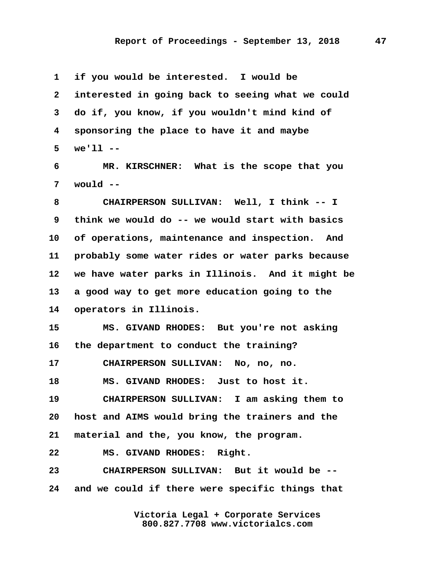**1 if you would be interested. I would be 2 interested in going back to seeing what we could 3 do if, you know, if you wouldn't mind kind of 4 sponsoring the place to have it and maybe 5 we'll --**

 **6 MR. KIRSCHNER: What is the scope that you 7 would --**

 **8 CHAIRPERSON SULLIVAN: Well, I think -- I 9 think we would do -- we would start with basics 10 of operations, maintenance and inspection. And 11 probably some water rides or water parks because 12 we have water parks in Illinois. And it might be 13 a good way to get more education going to the 14 operators in Illinois.**

**15 MS. GIVAND RHODES: But you're not asking 16 the department to conduct the training? 17 CHAIRPERSON SULLIVAN: No, no, no.**

**18 MS. GIVAND RHODES: Just to host it.**

**19 CHAIRPERSON SULLIVAN: I am asking them to 20 host and AIMS would bring the trainers and the 21 material and the, you know, the program.**

**22 MS. GIVAND RHODES: Right.**

**23 CHAIRPERSON SULLIVAN: But it would be -- 24 and we could if there were specific things that**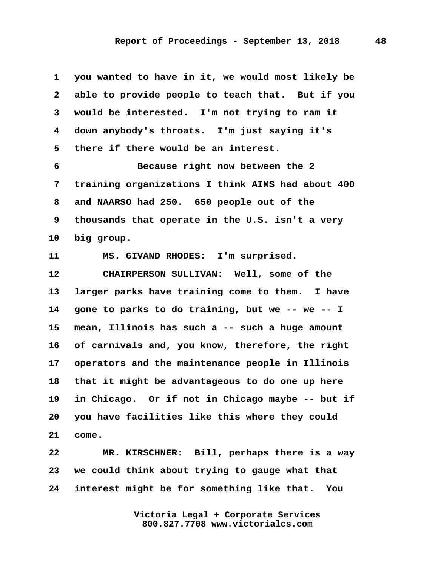**1 you wanted to have in it, we would most likely be 2 able to provide people to teach that. But if you 3 would be interested. I'm not trying to ram it 4 down anybody's throats. I'm just saying it's 5 there if there would be an interest. 6 Because right now between the 2 7 training organizations I think AIMS had about 400 8 and NAARSO had 250. 650 people out of the 9 thousands that operate in the U.S. isn't a very 10 big group. 11 MS. GIVAND RHODES: I'm surprised. 12 CHAIRPERSON SULLIVAN: Well, some of the 13 larger parks have training come to them. I have 14 gone to parks to do training, but we -- we -- I 15 mean, Illinois has such a -- such a huge amount 16 of carnivals and, you know, therefore, the right 17 operators and the maintenance people in Illinois 18 that it might be advantageous to do one up here 19 in Chicago. Or if not in Chicago maybe -- but if 20 you have facilities like this where they could 21 come.**

**22 MR. KIRSCHNER: Bill, perhaps there is a way 23 we could think about trying to gauge what that 24 interest might be for something like that. You**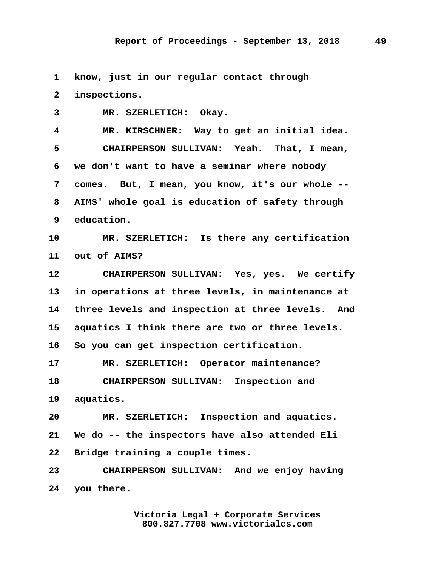**1 know, just in our regular contact through**

 **2 inspections.**

 **3 MR. SZERLETICH: Okay. 4 MR. KIRSCHNER: Way to get an initial idea. 5 CHAIRPERSON SULLIVAN: Yeah. That, I mean, 6 we don't want to have a seminar where nobody 7 comes. But, I mean, you know, it's our whole -- 8 AIMS' whole goal is education of safety through 9 education. 10 MR. SZERLETICH: Is there any certification 11 out of AIMS? 12 CHAIRPERSON SULLIVAN: Yes, yes. We certify 13 in operations at three levels, in maintenance at 14 three levels and inspection at three levels. And 15 aquatics I think there are two or three levels. 16 So you can get inspection certification. 17 MR. SZERLETICH: Operator maintenance?**

**18 CHAIRPERSON SULLIVAN: Inspection and 19 aquatics.**

**20 MR. SZERLETICH: Inspection and aquatics. 21 We do -- the inspectors have also attended Eli 22 Bridge training a couple times.**

**23 CHAIRPERSON SULLIVAN: And we enjoy having 24 you there.**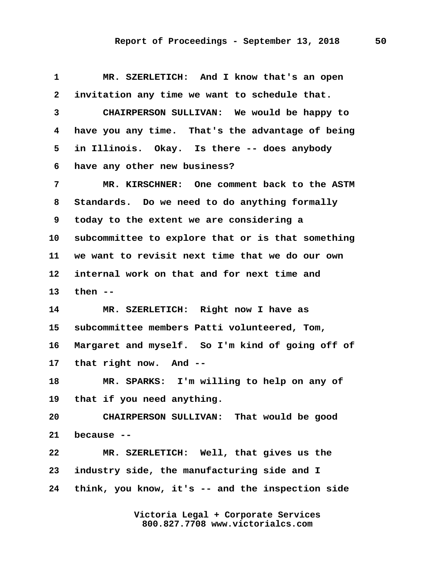| $\mathbf 1$  | MR. SZERLETICH: And I know that's an open         |
|--------------|---------------------------------------------------|
| $\mathbf{2}$ | invitation any time we want to schedule that.     |
| 3            | CHAIRPERSON SULLIVAN: We would be happy to        |
| 4            | have you any time. That's the advantage of being  |
| 5            | in Illinois. Okay. Is there -- does anybody       |
| 6            | have any other new business?                      |
| 7            | MR. KIRSCHNER: One comment back to the ASTM       |
| 8            | Standards. Do we need to do anything formally     |
| 9            | today to the extent we are considering a          |
| 10           | subcommittee to explore that or is that something |
| 11           | we want to revisit next time that we do our own   |
| 12           | internal work on that and for next time and       |
| 13           | then $--$                                         |
| 14           | MR. SZERLETICH: Right now I have as               |
| 15           | subcommittee members Patti volunteered, Tom,      |
| 16           | Margaret and myself. So I'm kind of going off of  |
| $17\,$       | that right now. And --                            |
| 18           | MR. SPARKS: I'm willing to help on any of         |
| 19           | that if you need anything.                        |
| 20           | CHAIRPERSON SULLIVAN: That would be good          |
| 21           | because --                                        |
| 22           | MR. SZERLETICH: Well, that gives us the           |
| 23           | industry side, the manufacturing side and I       |
| 24           | think, you know, it's -- and the inspection side  |
|              |                                                   |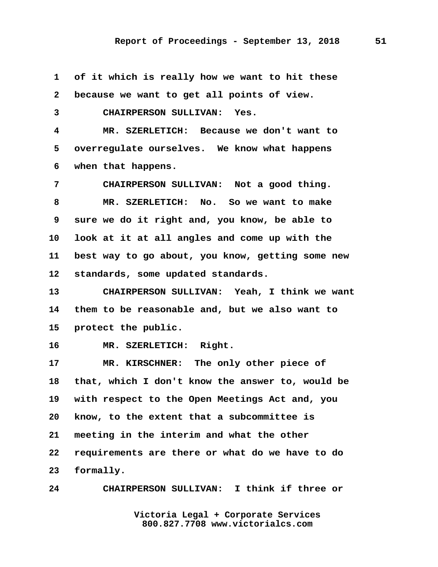**1 of it which is really how we want to hit these 2 because we want to get all points of view. 3 CHAIRPERSON SULLIVAN: Yes. 4 MR. SZERLETICH: Because we don't want to 5 overregulate ourselves. We know what happens 6 when that happens. 7 CHAIRPERSON SULLIVAN: Not a good thing. 8 MR. SZERLETICH: No. So we want to make 9 sure we do it right and, you know, be able to 10 look at it at all angles and come up with the 11 best way to go about, you know, getting some new 12 standards, some updated standards. 13 CHAIRPERSON SULLIVAN: Yeah, I think we want 14 them to be reasonable and, but we also want to 15 protect the public. 16 MR. SZERLETICH: Right. 17 MR. KIRSCHNER: The only other piece of 18 that, which I don't know the answer to, would be 19 with respect to the Open Meetings Act and, you 20 know, to the extent that a subcommittee is 21 meeting in the interim and what the other 22 requirements are there or what do we have to do 23 formally.**

**24 CHAIRPERSON SULLIVAN: I think if three or**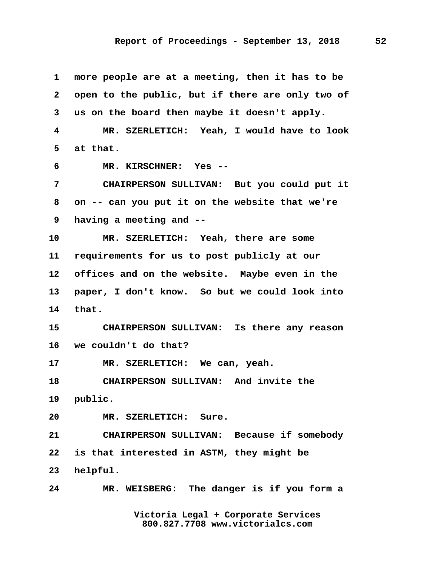**1 more people are at a meeting, then it has to be 2 open to the public, but if there are only two of 3 us on the board then maybe it doesn't apply. 4 MR. SZERLETICH: Yeah, I would have to look 5 at that. 6 MR. KIRSCHNER: Yes -- 7 CHAIRPERSON SULLIVAN: But you could put it 8 on -- can you put it on the website that we're 9 having a meeting and -- 10 MR. SZERLETICH: Yeah, there are some 11 requirements for us to post publicly at our 12 offices and on the website. Maybe even in the 13 paper, I don't know. So but we could look into 14 that. 15 CHAIRPERSON SULLIVAN: Is there any reason 16 we couldn't do that? 17 MR. SZERLETICH: We can, yeah. 18 CHAIRPERSON SULLIVAN: And invite the 19 public. 20 MR. SZERLETICH: Sure. 21 CHAIRPERSON SULLIVAN: Because if somebody 22 is that interested in ASTM, they might be 23 helpful. 24 MR. WEISBERG: The danger is if you form a**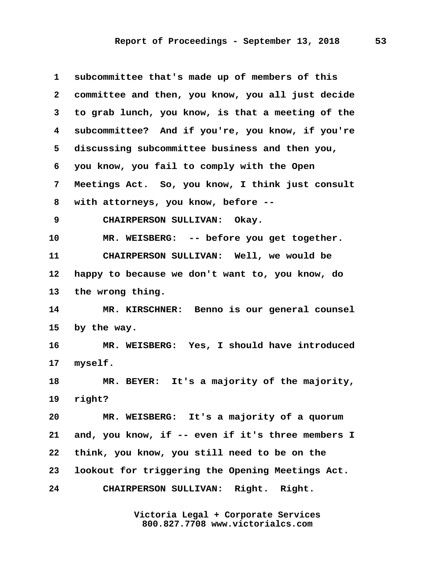| $\mathbf 1$  | subcommittee that's made up of members of this    |
|--------------|---------------------------------------------------|
| $\mathbf{2}$ | committee and then, you know, you all just decide |
| 3            | to grab lunch, you know, is that a meeting of the |
| 4            | subcommittee? And if you're, you know, if you're  |
| 5            | discussing subcommittee business and then you,    |
| 6            | you know, you fail to comply with the Open        |
| 7            | Meetings Act. So, you know, I think just consult  |
| 8            | with attorneys, you know, before --               |
| 9            | CHAIRPERSON SULLIVAN: Okay.                       |
| 10           | MR. WEISBERG: -- before you get together.         |
| 11           | CHAIRPERSON SULLIVAN: Well, we would be           |
| 12           | happy to because we don't want to, you know, do   |
| 13           | the wrong thing.                                  |
| 14           | MR. KIRSCHNER: Benno is our general counsel       |
| 15           | by the way.                                       |
| 16           | MR. WEISBERG: Yes, I should have introduced       |
| $17\,$       | myself.                                           |
| 18           | MR. BEYER: It's a majority of the majority,       |
| 19           | right?                                            |
| 20           | MR. WEISBERG: It's a majority of a quorum         |
| 21           | and, you know, if -- even if it's three members I |
| 22           | think, you know, you still need to be on the      |
| 23           | lookout for triggering the Opening Meetings Act.  |
| 24           | CHAIRPERSON SULLIVAN: Right. Right.               |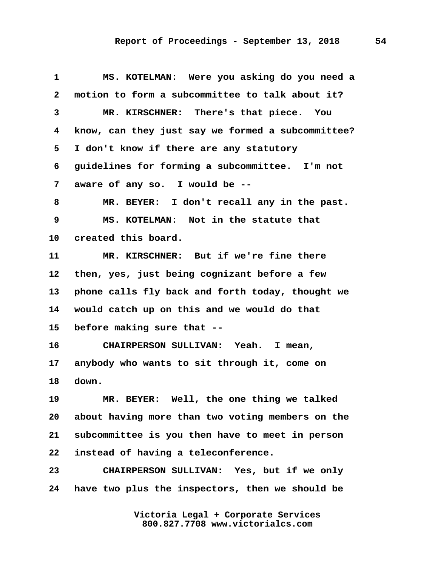## **Report of Proceedings - September 13, 2018 54**

 **1 MS. KOTELMAN: Were you asking do you need a 2 motion to form a subcommittee to talk about it? 3 MR. KIRSCHNER: There's that piece. You 4 know, can they just say we formed a subcommittee? 5 I don't know if there are any statutory 6 guidelines for forming a subcommittee. I'm not 7 aware of any so. I would be -- 8 MR. BEYER: I don't recall any in the past. 9 MS. KOTELMAN: Not in the statute that 10 created this board. 11 MR. KIRSCHNER: But if we're fine there 12 then, yes, just being cognizant before a few 13 phone calls fly back and forth today, thought we 14 would catch up on this and we would do that 15 before making sure that -- 16 CHAIRPERSON SULLIVAN: Yeah. I mean, 17 anybody who wants to sit through it, come on 18 down. 19 MR. BEYER: Well, the one thing we talked 20 about having more than two voting members on the 21 subcommittee is you then have to meet in person 22 instead of having a teleconference. 23 CHAIRPERSON SULLIVAN: Yes, but if we only**

**24 have two plus the inspectors, then we should be**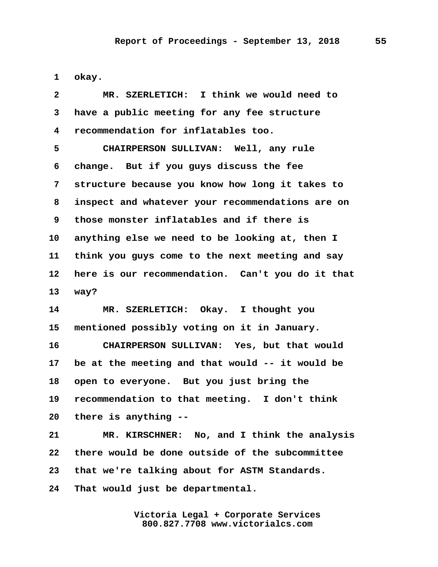**1 okay.**

| $\mathbf{2}$ | MR. SZERLETICH: I think we would need to         |
|--------------|--------------------------------------------------|
| 3            | have a public meeting for any fee structure      |
| 4            | recommendation for inflatables too.              |
| 5            | CHAIRPERSON SULLIVAN: Well, any rule             |
| 6            | change. But if you guys discuss the fee          |
| 7            | structure because you know how long it takes to  |
| 8            | inspect and whatever your recommendations are on |
| 9            | those monster inflatables and if there is        |
| 10           | anything else we need to be looking at, then I   |
| 11           | think you guys come to the next meeting and say  |
| 12           | here is our recommendation. Can't you do it that |
| 13           | way?                                             |
| 14           | MR. SZERLETICH: Okay. I thought you              |
| 15           | mentioned possibly voting on it in January.      |
| 16           | CHAIRPERSON SULLIVAN: Yes, but that would        |
| $17\,$       | be at the meeting and that would -- it would be  |
| 18           | open to everyone. But you just bring the         |
| 19           | recommendation to that meeting. I don't think    |
| 20           | there is anything --                             |
| 21           | MR. KIRSCHNER: No, and I think the analysis      |
| 22           | there would be done outside of the subcommittee  |
| 23           | that we're talking about for ASTM Standards.     |
| 24           | That would just be departmental.                 |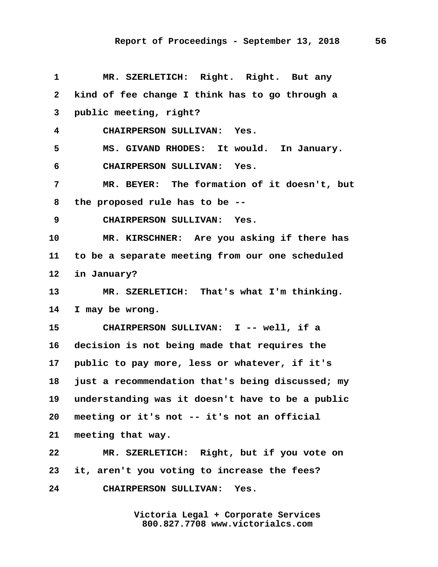**1 MR. SZERLETICH: Right. Right. But any 2 kind of fee change I think has to go through a 3 public meeting, right? 4 CHAIRPERSON SULLIVAN: Yes. 5 MS. GIVAND RHODES: It would. In January. 6 CHAIRPERSON SULLIVAN: Yes. 7 MR. BEYER: The formation of it doesn't, but 8 the proposed rule has to be -- 9 CHAIRPERSON SULLIVAN: Yes. 10 MR. KIRSCHNER: Are you asking if there has 11 to be a separate meeting from our one scheduled 12 in January? 13 MR. SZERLETICH: That's what I'm thinking. 14 I may be wrong. 15 CHAIRPERSON SULLIVAN: I -- well, if a 16 decision is not being made that requires the 17 public to pay more, less or whatever, if it's 18 just a recommendation that's being discussed; my 19 understanding was it doesn't have to be a public 20 meeting or it's not -- it's not an official 21 meeting that way. 22 MR. SZERLETICH: Right, but if you vote on 23 it, aren't you voting to increase the fees? 24 CHAIRPERSON SULLIVAN: Yes.**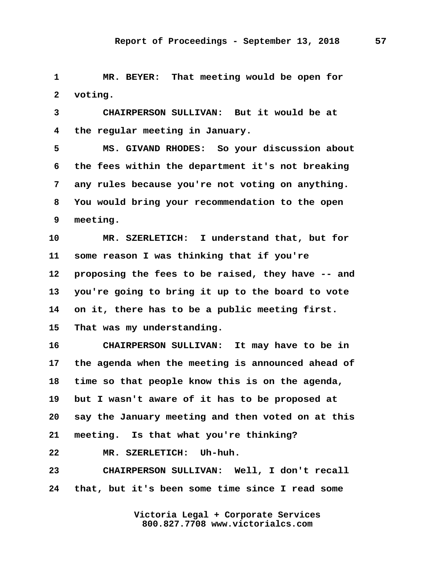**1 MR. BEYER: That meeting would be open for 2 voting.**

 **3 CHAIRPERSON SULLIVAN: But it would be at 4 the regular meeting in January.**

 **5 MS. GIVAND RHODES: So your discussion about 6 the fees within the department it's not breaking 7 any rules because you're not voting on anything. 8 You would bring your recommendation to the open 9 meeting.**

**10 MR. SZERLETICH: I understand that, but for 11 some reason I was thinking that if you're 12 proposing the fees to be raised, they have -- and 13 you're going to bring it up to the board to vote 14 on it, there has to be a public meeting first. 15 That was my understanding.**

**16 CHAIRPERSON SULLIVAN: It may have to be in 17 the agenda when the meeting is announced ahead of 18 time so that people know this is on the agenda, 19 but I wasn't aware of it has to be proposed at 20 say the January meeting and then voted on at this 21 meeting. Is that what you're thinking?**

**22 MR. SZERLETICH: Uh-huh.**

**23 CHAIRPERSON SULLIVAN: Well, I don't recall 24 that, but it's been some time since I read some**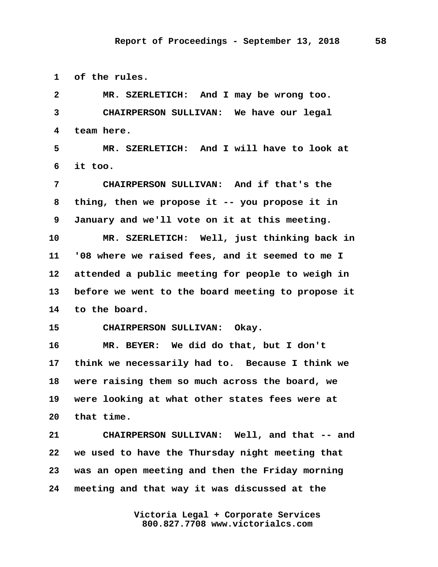**1 of the rules.**

 **2 MR. SZERLETICH: And I may be wrong too. 3 CHAIRPERSON SULLIVAN: We have our legal 4 team here. 5 MR. SZERLETICH: And I will have to look at 6 it too. 7 CHAIRPERSON SULLIVAN: And if that's the 8 thing, then we propose it -- you propose it in 9 January and we'll vote on it at this meeting. 10 MR. SZERLETICH: Well, just thinking back in 11 '08 where we raised fees, and it seemed to me I 12 attended a public meeting for people to weigh in 13 before we went to the board meeting to propose it 14 to the board. 15 CHAIRPERSON SULLIVAN: Okay. 16 MR. BEYER: We did do that, but I don't 17 think we necessarily had to. Because I think we 18 were raising them so much across the board, we 19 were looking at what other states fees were at 20 that time. 21 CHAIRPERSON SULLIVAN: Well, and that -- and 22 we used to have the Thursday night meeting that 23 was an open meeting and then the Friday morning 24 meeting and that way it was discussed at the**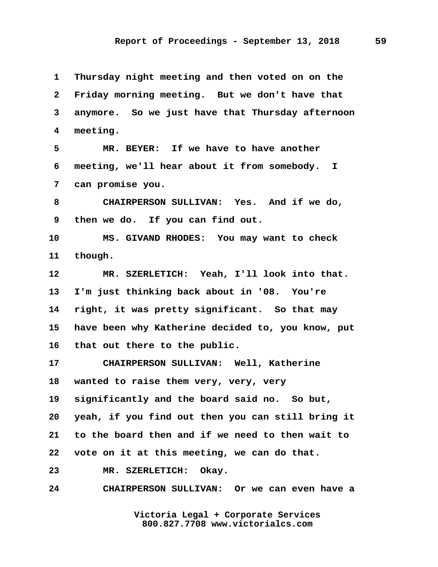**1 Thursday night meeting and then voted on on the 2 Friday morning meeting. But we don't have that 3 anymore. So we just have that Thursday afternoon 4 meeting. 5 MR. BEYER: If we have to have another 6 meeting, we'll hear about it from somebody. I 7 can promise you. 8 CHAIRPERSON SULLIVAN: Yes. And if we do, 9 then we do. If you can find out. 10 MS. GIVAND RHODES: You may want to check 11 though. 12 MR. SZERLETICH: Yeah, I'll look into that. 13 I'm just thinking back about in '08. You're 14 right, it was pretty significant. So that may 15 have been why Katherine decided to, you know, put 16 that out there to the public. 17 CHAIRPERSON SULLIVAN: Well, Katherine 18 wanted to raise them very, very, very 19 significantly and the board said no. So but, 20 yeah, if you find out then you can still bring it 21 to the board then and if we need to then wait to 22 vote on it at this meeting, we can do that. 23 MR. SZERLETICH: Okay. 24 CHAIRPERSON SULLIVAN: Or we can even have a**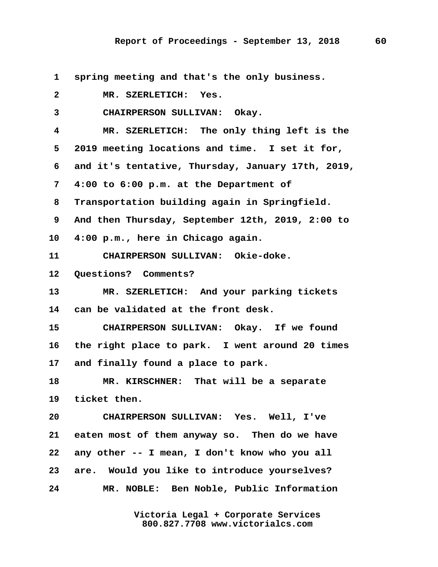**1 spring meeting and that's the only business. 2 MR. SZERLETICH: Yes. 3 CHAIRPERSON SULLIVAN: Okay. 4 MR. SZERLETICH: The only thing left is the 5 2019 meeting locations and time. I set it for, 6 and it's tentative, Thursday, January 17th, 2019, 7 4:00 to 6:00 p.m. at the Department of 8 Transportation building again in Springfield. 9 And then Thursday, September 12th, 2019, 2:00 to 10 4:00 p.m., here in Chicago again. 11 CHAIRPERSON SULLIVAN: Okie-doke. 12 Questions? Comments? 13 MR. SZERLETICH: And your parking tickets 14 can be validated at the front desk. 15 CHAIRPERSON SULLIVAN: Okay. If we found 16 the right place to park. I went around 20 times 17 and finally found a place to park. 18 MR. KIRSCHNER: That will be a separate 19 ticket then. 20 CHAIRPERSON SULLIVAN: Yes. Well, I've 21 eaten most of them anyway so. Then do we have 22 any other -- I mean, I don't know who you all 23 are. Would you like to introduce yourselves? 24 MR. NOBLE: Ben Noble, Public Information**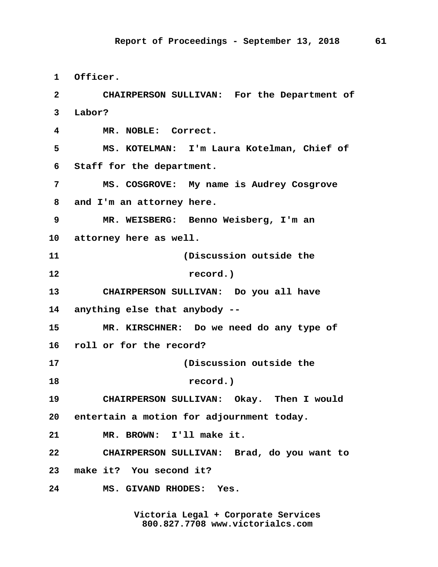**1 Officer. 2 CHAIRPERSON SULLIVAN: For the Department of 3 Labor? 4 MR. NOBLE: Correct. 5 MS. KOTELMAN: I'm Laura Kotelman, Chief of 6 Staff for the department. 7 MS. COSGROVE: My name is Audrey Cosgrove 8 and I'm an attorney here. 9 MR. WEISBERG: Benno Weisberg, I'm an 10 attorney here as well. 11 (Discussion outside the 12 record.) 13 CHAIRPERSON SULLIVAN: Do you all have 14 anything else that anybody -- 15 MR. KIRSCHNER: Do we need do any type of 16 roll or for the record? 17 (Discussion outside the 18 record.) 19 CHAIRPERSON SULLIVAN: Okay. Then I would 20 entertain a motion for adjournment today. 21 MR. BROWN: I'll make it. 22 CHAIRPERSON SULLIVAN: Brad, do you want to 23 make it? You second it? 24 MS. GIVAND RHODES: Yes.**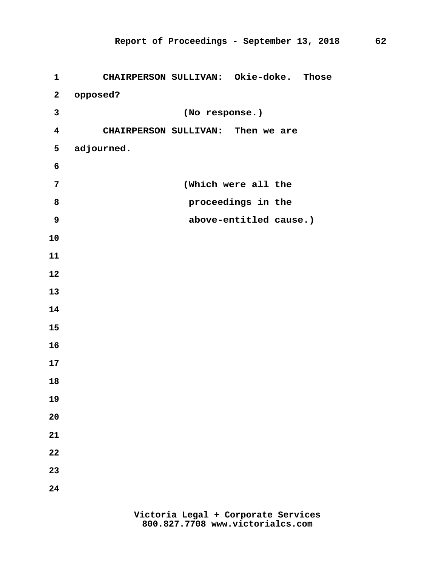| $\mathbf 1$             | CHAIRPERSON SULLIVAN: Okie-doke. Those |
|-------------------------|----------------------------------------|
| $\mathbf{2}$            | opposed?                               |
| 3                       | (No response.)                         |
| $\overline{\mathbf{4}}$ | CHAIRPERSON SULLIVAN: Then we are      |
| 5                       | adjourned.                             |
| 6                       |                                        |
| $\overline{7}$          | (Which were all the                    |
| 8                       | proceedings in the                     |
| 9                       | above-entitled cause.)                 |
| 10                      |                                        |
| 11                      |                                        |
| 12                      |                                        |
| 13                      |                                        |
| 14                      |                                        |
| 15                      |                                        |
| 16                      |                                        |
| 17                      |                                        |
| 18                      |                                        |
| 19                      |                                        |
| 20                      |                                        |
| 21                      |                                        |
| 22                      |                                        |
| 23                      |                                        |
| 24                      |                                        |